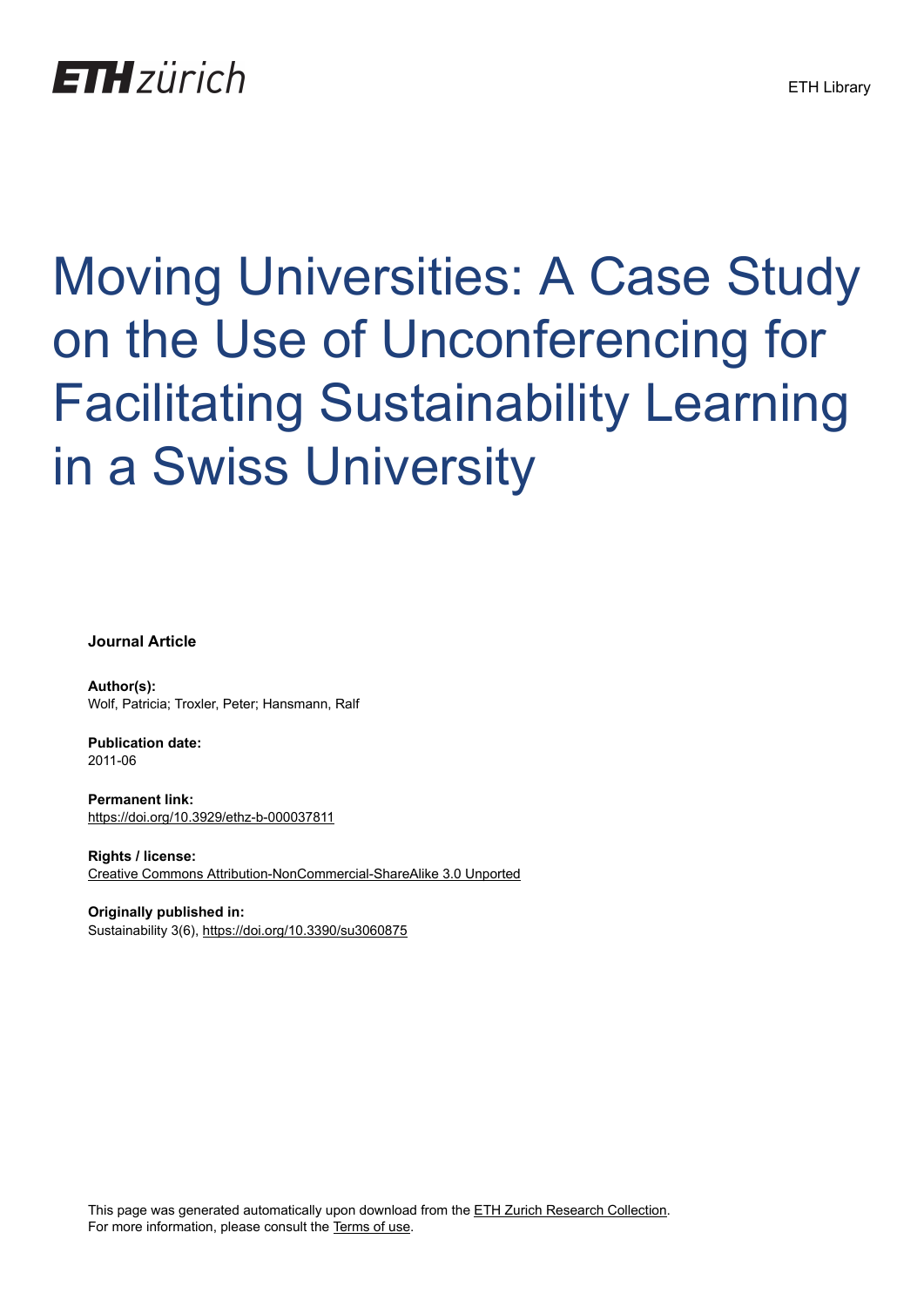## **ETH** zürich

# Moving Universities: A Case Study on the Use of Unconferencing for Facilitating Sustainability Learning in a Swiss University

**Journal Article**

**Author(s):** Wolf, Patricia; Troxler, Peter; Hansmann, Ralf

**Publication date:** 2011-06

**Permanent link:** <https://doi.org/10.3929/ethz-b-000037811>

**Rights / license:** [Creative Commons Attribution-NonCommercial-ShareAlike 3.0 Unported](http://creativecommons.org/licenses/by-nc-sa/3.0/)

**Originally published in:** Sustainability 3(6), <https://doi.org/10.3390/su3060875>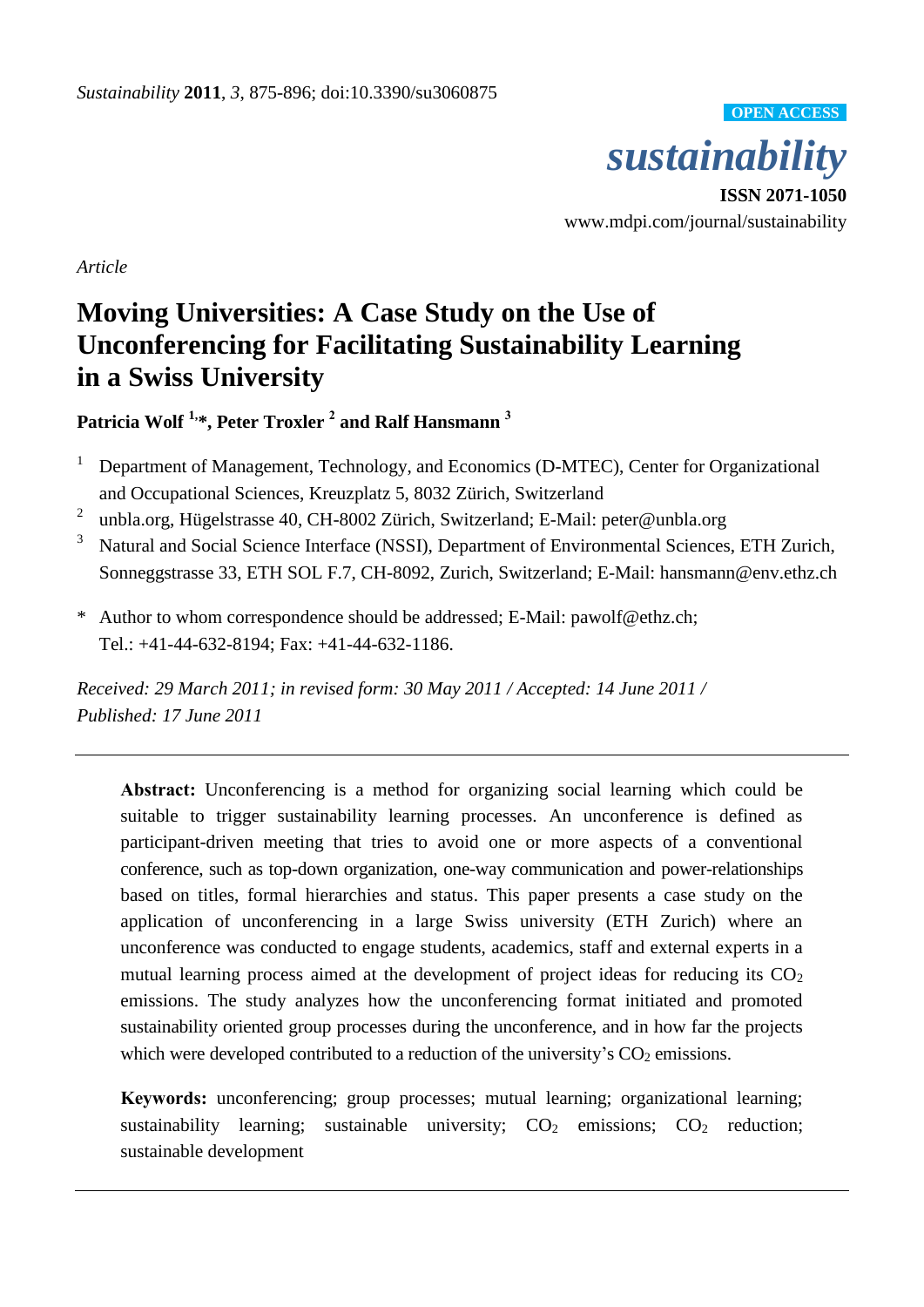

**OPEN ACCESS**

**ISSN 2071-1050** www.mdpi.com/journal/sustainability

*Article*

### **Moving Universities: A Case Study on the Use of Unconferencing for Facilitating Sustainability Learning in a Swiss University**

**Patricia Wolf 1,\*, Peter Troxler <sup>2</sup> and Ralf Hansmann <sup>3</sup>**

- <sup>1</sup> Department of Management, Technology, and Economics (D-MTEC), Center for Organizational and Occupational Sciences, Kreuzplatz 5, 8032 Zürich, Switzerland
- 2 unbla.org, Hügelstrasse 40, CH-8002 Zürich, Switzerland; E-Mail: peter@unbla.org
- <sup>3</sup> Natural and Social Science Interface (NSSI), Department of Environmental Sciences, ETH Zurich, Sonneggstrasse 33, ETH SOL F.7, CH-8092, Zurich, Switzerland; E-Mail: hansmann@env.ethz.ch
- \* Author to whom correspondence should be addressed; E-Mail: pawolf@ethz.ch; Tel.: +41-44-632-8194; Fax: +41-44-632-1186.

*Received: 29 March 2011; in revised form: 30 May 2011 / Accepted: 14 June 2011 / Published: 17 June 2011* 

**Abstract:** Unconferencing is a method for organizing social learning which could be suitable to trigger sustainability learning processes. An unconference is defined as participant-driven meeting that tries to avoid one or more aspects of a conventional conference, such as top-down organization, one-way communication and power-relationships based on titles, formal hierarchies and status. This paper presents a case study on the application of unconferencing in a large Swiss university (ETH Zurich) where an unconference was conducted to engage students, academics, staff and external experts in a mutual learning process aimed at the development of project ideas for reducing its  $CO<sub>2</sub>$ emissions. The study analyzes how the unconferencing format initiated and promoted sustainability oriented group processes during the unconference, and in how far the projects which were developed contributed to a reduction of the university's  $CO<sub>2</sub>$  emissions.

**Keywords:** unconferencing; group processes; mutual learning; organizational learning; sustainability learning; sustainable university;  $CO<sub>2</sub>$  emissions;  $CO<sub>2</sub>$  reduction; sustainable development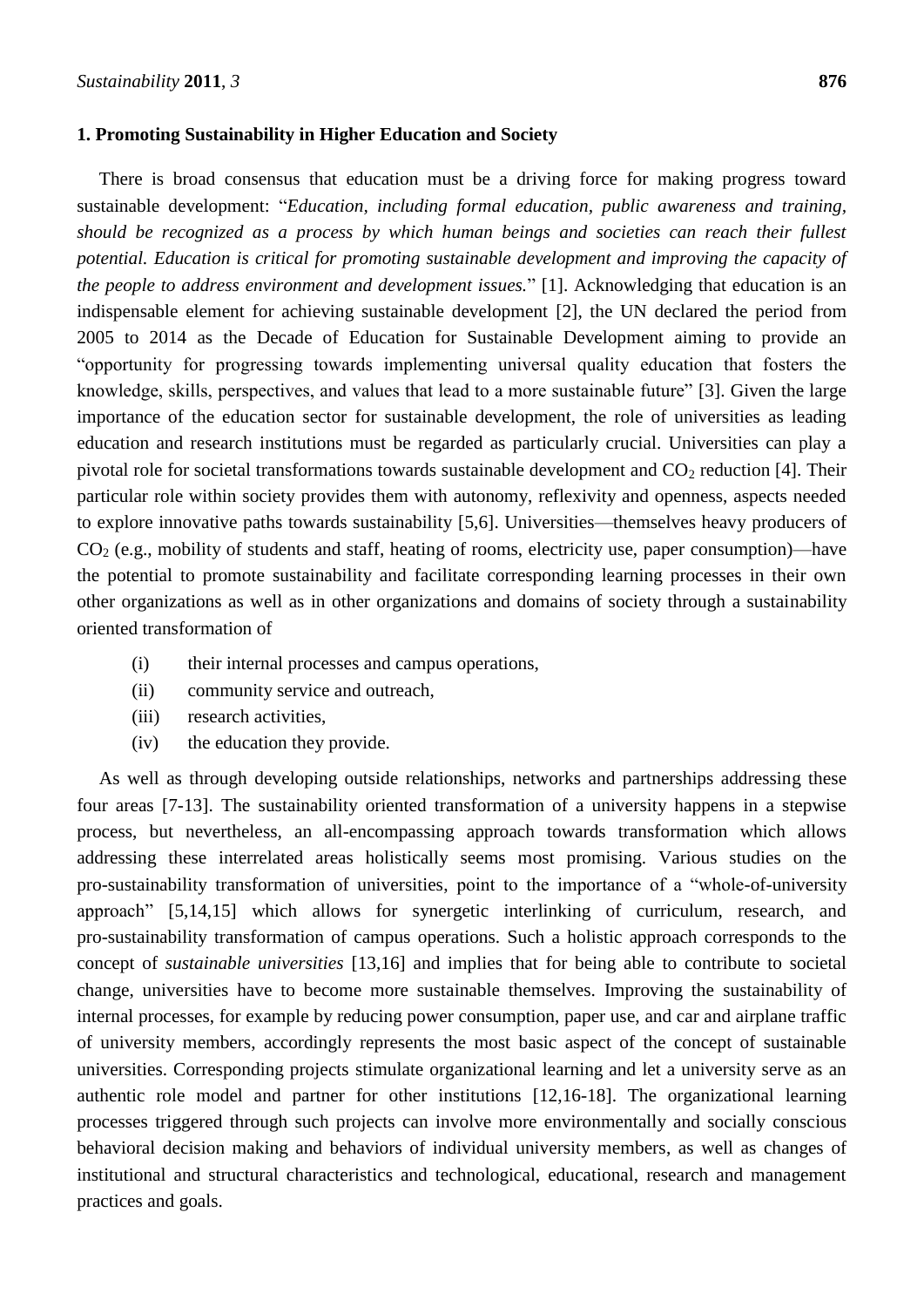#### **1. Promoting Sustainability in Higher Education and Society**

There is broad consensus that education must be a driving force for making progress toward sustainable development: "*Education, including formal education, public awareness and training, should be recognized as a process by which human beings and societies can reach their fullest potential. Education is critical for promoting sustainable development and improving the capacity of the people to address environment and development issues.*‖ [1]. Acknowledging that education is an indispensable element for achieving sustainable development [2], the UN declared the period from 2005 to 2014 as the Decade of Education for Sustainable Development aiming to provide an ―opportunity for progressing towards implementing universal quality education that fosters the knowledge, skills, perspectives, and values that lead to a more sustainable future" [3]. Given the large importance of the education sector for sustainable development, the role of universities as leading education and research institutions must be regarded as particularly crucial. Universities can play a pivotal role for societal transformations towards sustainable development and  $CO<sub>2</sub>$  reduction [4]. Their particular role within society provides them with autonomy, reflexivity and openness, aspects needed to explore innovative paths towards sustainability [5,6]. Universities—themselves heavy producers of  $CO<sub>2</sub>$  (e.g., mobility of students and staff, heating of rooms, electricity use, paper consumption)—have the potential to promote sustainability and facilitate corresponding learning processes in their own other organizations as well as in other organizations and domains of society through a sustainability oriented transformation of

- (i) their internal processes and campus operations,
- (ii) community service and outreach,
- (iii) research activities,
- (iv) the education they provide.

As well as through developing outside relationships, networks and partnerships addressing these four areas [7-13]. The sustainability oriented transformation of a university happens in a stepwise process, but nevertheless, an all-encompassing approach towards transformation which allows addressing these interrelated areas holistically seems most promising. Various studies on the pro-sustainability transformation of universities, point to the importance of a "whole-of-university approach" [5,14,15] which allows for synergetic interlinking of curriculum, research, and pro-sustainability transformation of campus operations. Such a holistic approach corresponds to the concept of *sustainable universities* [13,16] and implies that for being able to contribute to societal change, universities have to become more sustainable themselves. Improving the sustainability of internal processes, for example by reducing power consumption, paper use, and car and airplane traffic of university members, accordingly represents the most basic aspect of the concept of sustainable universities. Corresponding projects stimulate organizational learning and let a university serve as an authentic role model and partner for other institutions [12,16-18]. The organizational learning processes triggered through such projects can involve more environmentally and socially conscious behavioral decision making and behaviors of individual university members, as well as changes of institutional and structural characteristics and technological, educational, research and management practices and goals.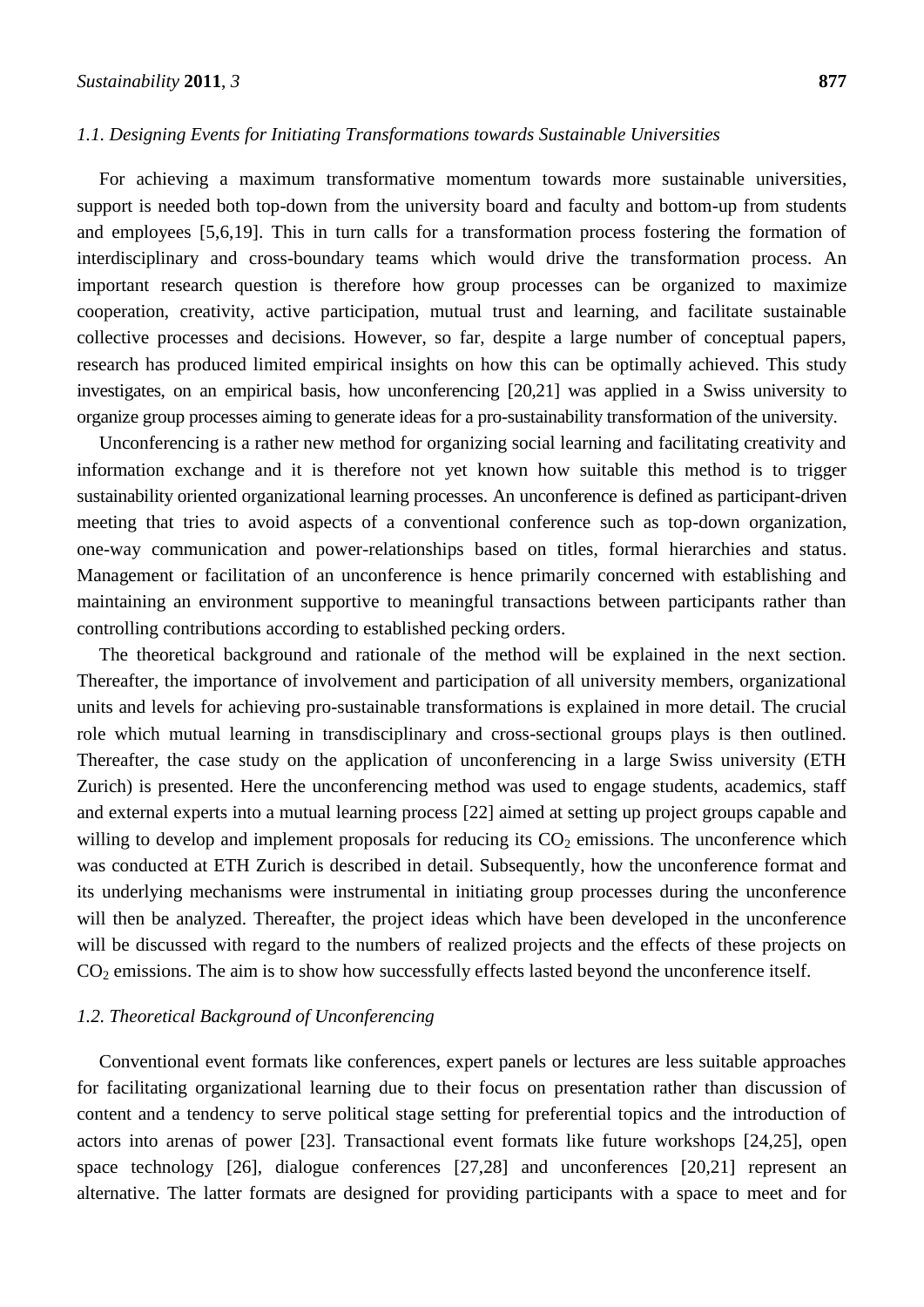#### *1.1. Designing Events for Initiating Transformations towards Sustainable Universities*

For achieving a maximum transformative momentum towards more sustainable universities, support is needed both top-down from the university board and faculty and bottom-up from students and employees [5,6,19]. This in turn calls for a transformation process fostering the formation of interdisciplinary and cross-boundary teams which would drive the transformation process. An important research question is therefore how group processes can be organized to maximize cooperation, creativity, active participation, mutual trust and learning, and facilitate sustainable collective processes and decisions. However, so far, despite a large number of conceptual papers, research has produced limited empirical insights on how this can be optimally achieved. This study investigates, on an empirical basis, how unconferencing [20,21] was applied in a Swiss university to organize group processes aiming to generate ideas for a pro-sustainability transformation of the university.

Unconferencing is a rather new method for organizing social learning and facilitating creativity and information exchange and it is therefore not yet known how suitable this method is to trigger sustainability oriented organizational learning processes. An unconference is defined as participant-driven meeting that tries to avoid aspects of a conventional conference such as top-down organization, one-way communication and power-relationships based on titles, formal hierarchies and status. Management or facilitation of an unconference is hence primarily concerned with establishing and maintaining an environment supportive to meaningful transactions between participants rather than controlling contributions according to established pecking orders.

The theoretical background and rationale of the method will be explained in the next section. Thereafter, the importance of involvement and participation of all university members, organizational units and levels for achieving pro-sustainable transformations is explained in more detail. The crucial role which mutual learning in transdisciplinary and cross-sectional groups plays is then outlined. Thereafter, the case study on the application of unconferencing in a large Swiss university (ETH Zurich) is presented. Here the unconferencing method was used to engage students, academics, staff and external experts into a mutual learning process [22] aimed at setting up project groups capable and willing to develop and implement proposals for reducing its  $CO<sub>2</sub>$  emissions. The unconference which was conducted at ETH Zurich is described in detail. Subsequently, how the unconference format and its underlying mechanisms were instrumental in initiating group processes during the unconference will then be analyzed. Thereafter, the project ideas which have been developed in the unconference will be discussed with regard to the numbers of realized projects and the effects of these projects on  $CO<sub>2</sub>$  emissions. The aim is to show how successfully effects lasted beyond the unconference itself.

#### *1.2. Theoretical Background of Unconferencing*

Conventional event formats like conferences, expert panels or lectures are less suitable approaches for facilitating organizational learning due to their focus on presentation rather than discussion of content and a tendency to serve political stage setting for preferential topics and the introduction of actors into arenas of power [23]. Transactional event formats like future workshops [24,25], open space technology [26], dialogue conferences [27,28] and unconferences [20,21] represent an alternative. The latter formats are designed for providing participants with a space to meet and for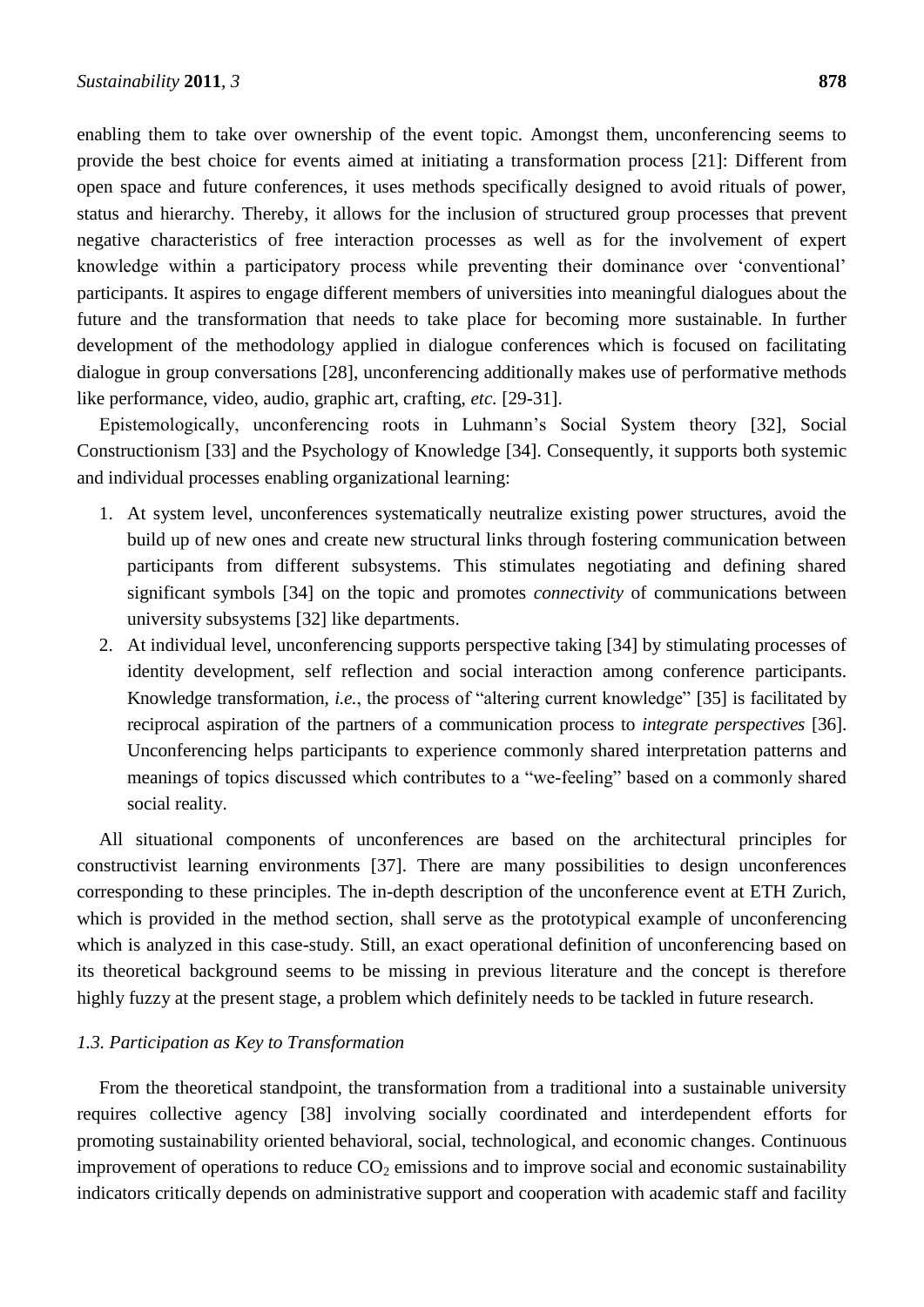enabling them to take over ownership of the event topic. Amongst them, unconferencing seems to provide the best choice for events aimed at initiating a transformation process [21]: Different from open space and future conferences, it uses methods specifically designed to avoid rituals of power, status and hierarchy. Thereby, it allows for the inclusion of structured group processes that prevent negative characteristics of free interaction processes as well as for the involvement of expert knowledge within a participatory process while preventing their dominance over ‗conventional' participants. It aspires to engage different members of universities into meaningful dialogues about the future and the transformation that needs to take place for becoming more sustainable. In further development of the methodology applied in dialogue conferences which is focused on facilitating dialogue in group conversations [28], unconferencing additionally makes use of performative methods like performance, video, audio, graphic art, crafting, *etc.* [29-31].

Epistemologically, unconferencing roots in Luhmann's Social System theory [32], Social Constructionism [33] and the Psychology of Knowledge [34]. Consequently, it supports both systemic and individual processes enabling organizational learning:

- 1. At system level, unconferences systematically neutralize existing power structures, avoid the build up of new ones and create new structural links through fostering communication between participants from different subsystems. This stimulates negotiating and defining shared significant symbols [34] on the topic and promotes *connectivity* of communications between university subsystems [32] like departments.
- 2. At individual level, unconferencing supports perspective taking [34] by stimulating processes of identity development, self reflection and social interaction among conference participants. Knowledge transformation, *i.e.*, the process of "altering current knowledge" [35] is facilitated by reciprocal aspiration of the partners of a communication process to *integrate perspectives* [36]. Unconferencing helps participants to experience commonly shared interpretation patterns and meanings of topics discussed which contributes to a "we-feeling" based on a commonly shared social reality.

All situational components of unconferences are based on the architectural principles for constructivist learning environments [37]. There are many possibilities to design unconferences corresponding to these principles. The in-depth description of the unconference event at ETH Zurich, which is provided in the method section, shall serve as the prototypical example of unconferencing which is analyzed in this case-study. Still, an exact operational definition of unconferencing based on its theoretical background seems to be missing in previous literature and the concept is therefore highly fuzzy at the present stage, a problem which definitely needs to be tackled in future research.

#### *1.3. Participation as Key to Transformation*

From the theoretical standpoint, the transformation from a traditional into a sustainable university requires collective agency [38] involving socially coordinated and interdependent efforts for promoting sustainability oriented behavioral, social, technological, and economic changes. Continuous improvement of operations to reduce  $CO<sub>2</sub>$  emissions and to improve social and economic sustainability indicators critically depends on administrative support and cooperation with academic staff and facility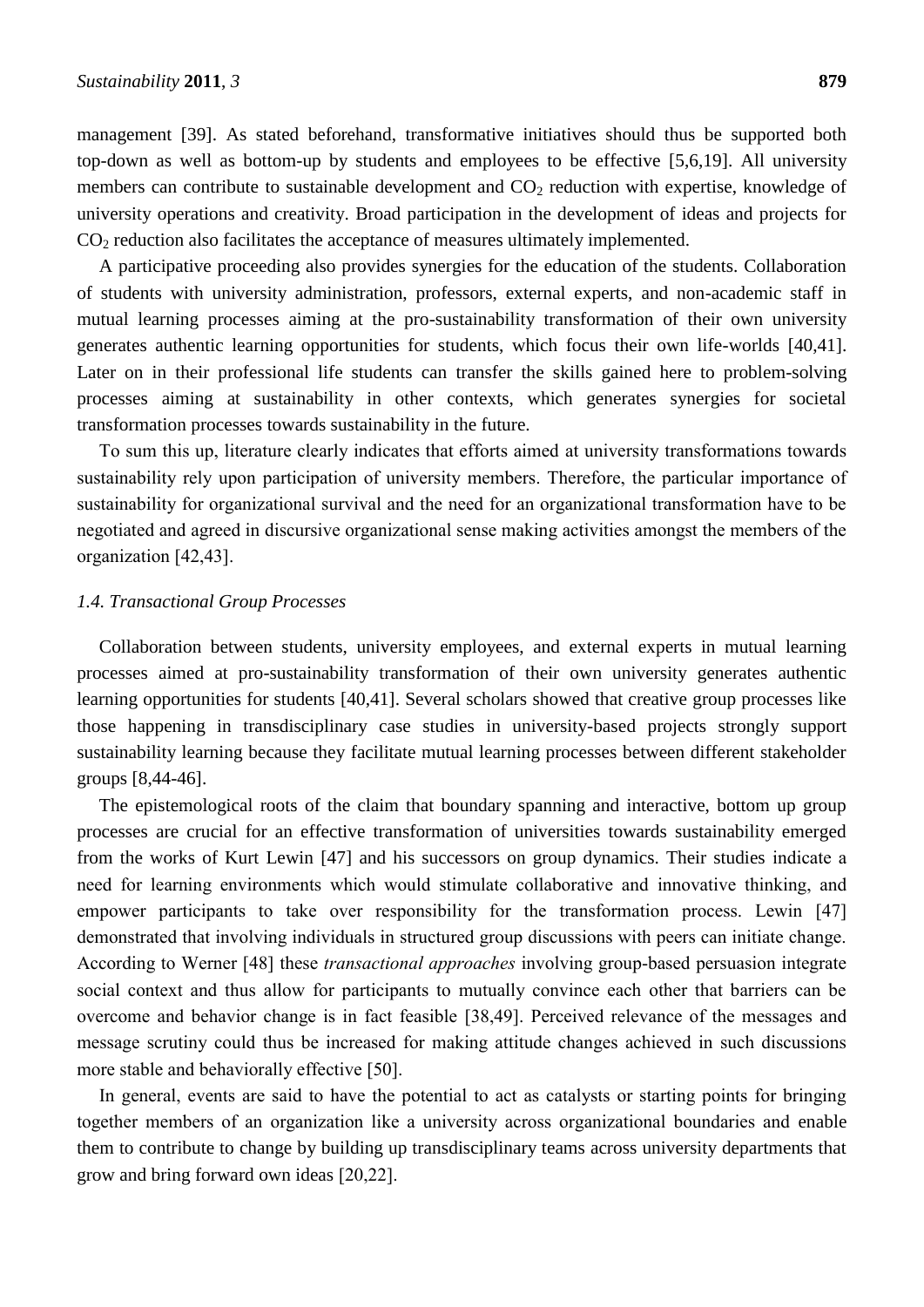management [39]. As stated beforehand, transformative initiatives should thus be supported both top-down as well as bottom-up by students and employees to be effective [5,6,19]. All university members can contribute to sustainable development and  $CO<sub>2</sub>$  reduction with expertise, knowledge of university operations and creativity. Broad participation in the development of ideas and projects for  $CO<sub>2</sub>$  reduction also facilitates the acceptance of measures ultimately implemented.

A participative proceeding also provides synergies for the education of the students. Collaboration of students with university administration, professors, external experts, and non-academic staff in mutual learning processes aiming at the pro-sustainability transformation of their own university generates authentic learning opportunities for students, which focus their own life-worlds [40,41]. Later on in their professional life students can transfer the skills gained here to problem-solving processes aiming at sustainability in other contexts, which generates synergies for societal transformation processes towards sustainability in the future.

To sum this up, literature clearly indicates that efforts aimed at university transformations towards sustainability rely upon participation of university members. Therefore, the particular importance of sustainability for organizational survival and the need for an organizational transformation have to be negotiated and agreed in discursive organizational sense making activities amongst the members of the organization [42,43].

#### *1.4. Transactional Group Processes*

Collaboration between students, university employees, and external experts in mutual learning processes aimed at pro-sustainability transformation of their own university generates authentic learning opportunities for students [40,41]. Several scholars showed that creative group processes like those happening in transdisciplinary case studies in university-based projects strongly support sustainability learning because they facilitate mutual learning processes between different stakeholder groups [8,44-46].

The epistemological roots of the claim that boundary spanning and interactive, bottom up group processes are crucial for an effective transformation of universities towards sustainability emerged from the works of Kurt Lewin [47] and his successors on group dynamics. Their studies indicate a need for learning environments which would stimulate collaborative and innovative thinking, and empower participants to take over responsibility for the transformation process. Lewin [47] demonstrated that involving individuals in structured group discussions with peers can initiate change. According to Werner [48] these *transactional approaches* involving group-based persuasion integrate social context and thus allow for participants to mutually convince each other that barriers can be overcome and behavior change is in fact feasible [38,49]. Perceived relevance of the messages and message scrutiny could thus be increased for making attitude changes achieved in such discussions more stable and behaviorally effective [50].

In general, events are said to have the potential to act as catalysts or starting points for bringing together members of an organization like a university across organizational boundaries and enable them to contribute to change by building up transdisciplinary teams across university departments that grow and bring forward own ideas [20,22].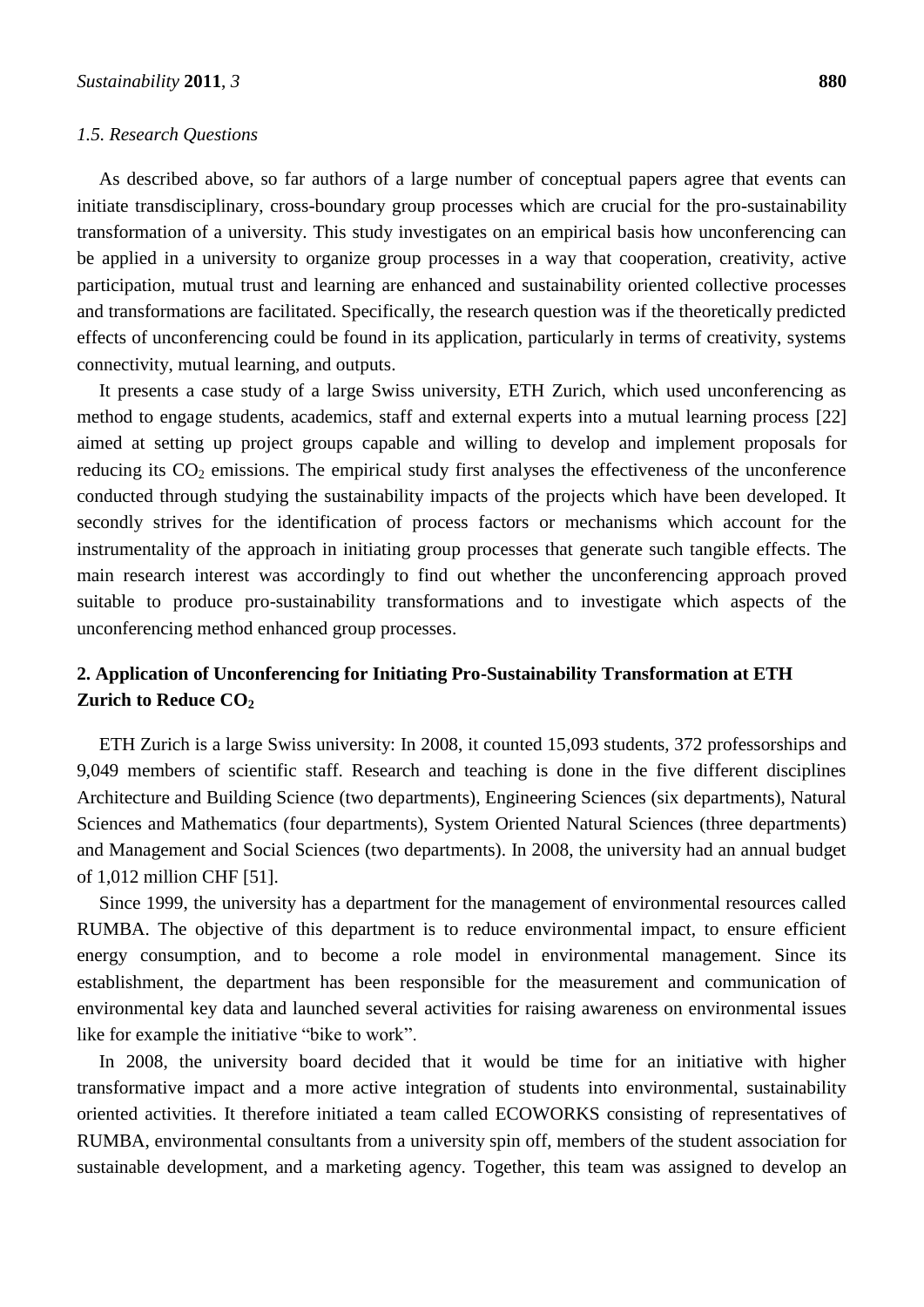#### *1.5. Research Questions*

As described above, so far authors of a large number of conceptual papers agree that events can initiate transdisciplinary, cross-boundary group processes which are crucial for the pro-sustainability transformation of a university. This study investigates on an empirical basis how unconferencing can be applied in a university to organize group processes in a way that cooperation, creativity, active participation, mutual trust and learning are enhanced and sustainability oriented collective processes and transformations are facilitated. Specifically, the research question was if the theoretically predicted effects of unconferencing could be found in its application, particularly in terms of creativity, systems connectivity, mutual learning, and outputs.

It presents a case study of a large Swiss university, ETH Zurich, which used unconferencing as method to engage students, academics, staff and external experts into a mutual learning process [22] aimed at setting up project groups capable and willing to develop and implement proposals for reducing its  $CO<sub>2</sub>$  emissions. The empirical study first analyses the effectiveness of the unconference conducted through studying the sustainability impacts of the projects which have been developed. It secondly strives for the identification of process factors or mechanisms which account for the instrumentality of the approach in initiating group processes that generate such tangible effects. The main research interest was accordingly to find out whether the unconferencing approach proved suitable to produce pro-sustainability transformations and to investigate which aspects of the unconferencing method enhanced group processes.

#### **2. Application of Unconferencing for Initiating Pro-Sustainability Transformation at ETH Zurich to Reduce CO<sup>2</sup>**

ETH Zurich is a large Swiss university: In 2008, it counted 15,093 students, 372 professorships and 9,049 members of scientific staff. Research and teaching is done in the five different disciplines Architecture and Building Science (two departments), Engineering Sciences (six departments), Natural Sciences and Mathematics (four departments), System Oriented Natural Sciences (three departments) and Management and Social Sciences (two departments). In 2008, the university had an annual budget of 1,012 million CHF [51].

Since 1999, the university has a department for the management of environmental resources called RUMBA. The objective of this department is to reduce environmental impact, to ensure efficient energy consumption, and to become a role model in environmental management. Since its establishment, the department has been responsible for the measurement and communication of environmental key data and launched several activities for raising awareness on environmental issues like for example the initiative "bike to work".

In 2008, the university board decided that it would be time for an initiative with higher transformative impact and a more active integration of students into environmental, sustainability oriented activities. It therefore initiated a team called ECOWORKS consisting of representatives of RUMBA, environmental consultants from a university spin off, members of the student association for sustainable development, and a marketing agency. Together, this team was assigned to develop an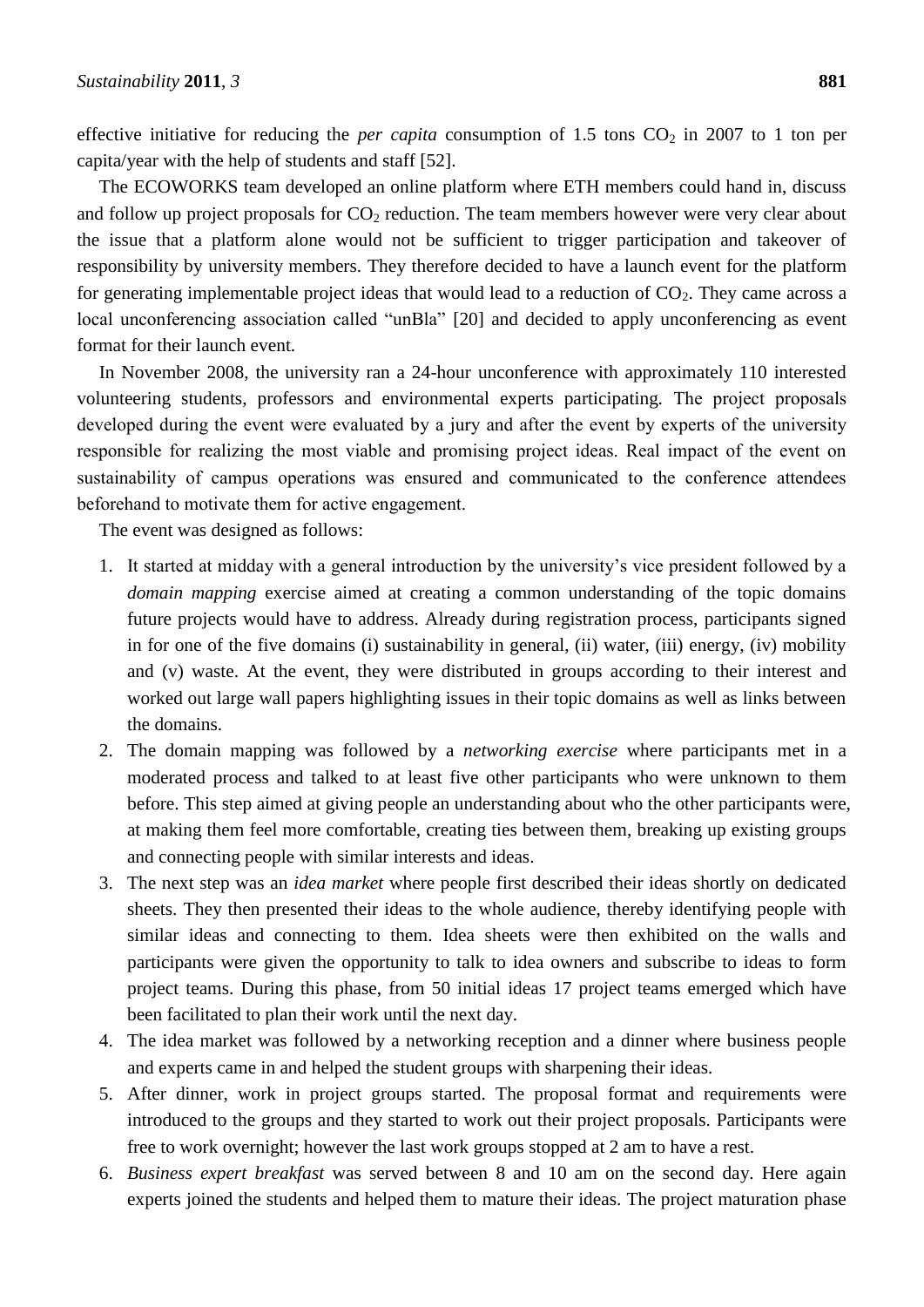effective initiative for reducing the *per capita* consumption of 1.5 tons  $CO_2$  in 2007 to 1 ton per capita/year with the help of students and staff [52].

The ECOWORKS team developed an online platform where ETH members could hand in, discuss and follow up project proposals for  $CO<sub>2</sub>$  reduction. The team members however were very clear about the issue that a platform alone would not be sufficient to trigger participation and takeover of responsibility by university members. They therefore decided to have a launch event for the platform for generating implementable project ideas that would lead to a reduction of  $CO<sub>2</sub>$ . They came across a local unconferencing association called "unBla" [20] and decided to apply unconferencing as event format for their launch event.

In November 2008, the university ran a 24-hour unconference with approximately 110 interested volunteering students, professors and environmental experts participating. The project proposals developed during the event were evaluated by a jury and after the event by experts of the university responsible for realizing the most viable and promising project ideas. Real impact of the event on sustainability of campus operations was ensured and communicated to the conference attendees beforehand to motivate them for active engagement.

The event was designed as follows:

- 1. It started at midday with a general introduction by the university's vice president followed by a *domain mapping* exercise aimed at creating a common understanding of the topic domains future projects would have to address. Already during registration process, participants signed in for one of the five domains (i) sustainability in general, (ii) water, (iii) energy, (iv) mobility and (v) waste. At the event, they were distributed in groups according to their interest and worked out large wall papers highlighting issues in their topic domains as well as links between the domains.
- 2. The domain mapping was followed by a *networking exercise* where participants met in a moderated process and talked to at least five other participants who were unknown to them before. This step aimed at giving people an understanding about who the other participants were, at making them feel more comfortable, creating ties between them, breaking up existing groups and connecting people with similar interests and ideas.
- 3. The next step was an *idea market* where people first described their ideas shortly on dedicated sheets. They then presented their ideas to the whole audience, thereby identifying people with similar ideas and connecting to them. Idea sheets were then exhibited on the walls and participants were given the opportunity to talk to idea owners and subscribe to ideas to form project teams. During this phase, from 50 initial ideas 17 project teams emerged which have been facilitated to plan their work until the next day.
- 4. The idea market was followed by a networking reception and a dinner where business people and experts came in and helped the student groups with sharpening their ideas.
- 5. After dinner, work in project groups started. The proposal format and requirements were introduced to the groups and they started to work out their project proposals. Participants were free to work overnight; however the last work groups stopped at 2 am to have a rest.
- 6. *Business expert breakfast* was served between 8 and 10 am on the second day. Here again experts joined the students and helped them to mature their ideas. The project maturation phase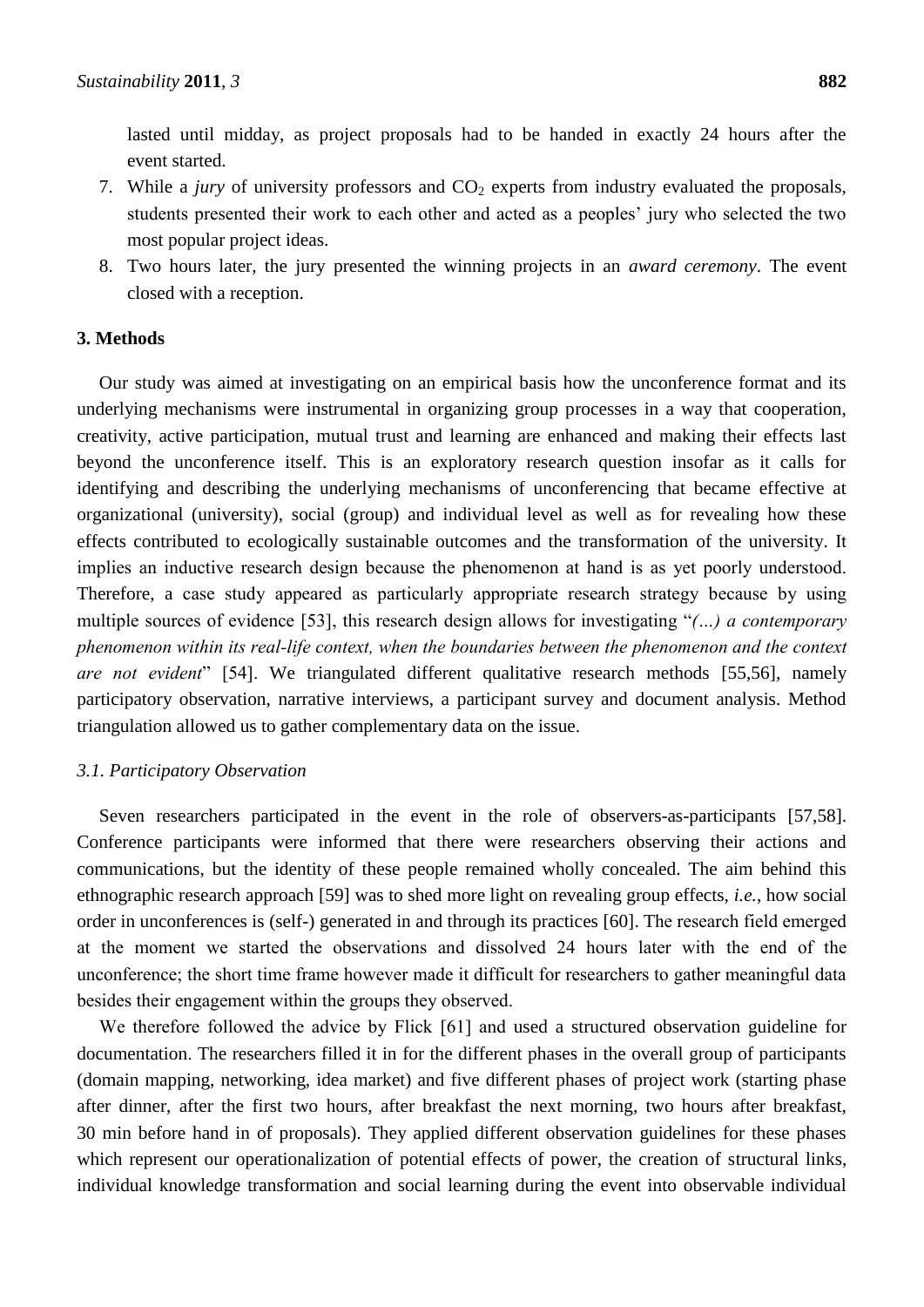lasted until midday, as project proposals had to be handed in exactly 24 hours after the event started.

- 7. While a *jury* of university professors and CO<sub>2</sub> experts from industry evaluated the proposals, students presented their work to each other and acted as a peoples' jury who selected the two most popular project ideas.
- 8. Two hours later, the jury presented the winning projects in an *award ceremony*. The event closed with a reception.

#### **3. Methods**

Our study was aimed at investigating on an empirical basis how the unconference format and its underlying mechanisms were instrumental in organizing group processes in a way that cooperation, creativity, active participation, mutual trust and learning are enhanced and making their effects last beyond the unconference itself. This is an exploratory research question insofar as it calls for identifying and describing the underlying mechanisms of unconferencing that became effective at organizational (university), social (group) and individual level as well as for revealing how these effects contributed to ecologically sustainable outcomes and the transformation of the university. It implies an inductive research design because the phenomenon at hand is as yet poorly understood. Therefore, a case study appeared as particularly appropriate research strategy because by using multiple sources of evidence [53], this research design allows for investigating "*(…) a contemporary phenomenon within its real-life context, when the boundaries between the phenomenon and the context are not evident*" [54]. We triangulated different qualitative research methods [55,56], namely participatory observation, narrative interviews, a participant survey and document analysis. Method triangulation allowed us to gather complementary data on the issue.

#### *3.1. Participatory Observation*

Seven researchers participated in the event in the role of observers-as-participants [57,58]. Conference participants were informed that there were researchers observing their actions and communications, but the identity of these people remained wholly concealed. The aim behind this ethnographic research approach [59] was to shed more light on revealing group effects, *i.e.*, how social order in unconferences is (self-) generated in and through its practices [60]. The research field emerged at the moment we started the observations and dissolved 24 hours later with the end of the unconference; the short time frame however made it difficult for researchers to gather meaningful data besides their engagement within the groups they observed.

We therefore followed the advice by Flick [61] and used a structured observation guideline for documentation. The researchers filled it in for the different phases in the overall group of participants (domain mapping, networking, idea market) and five different phases of project work (starting phase after dinner, after the first two hours, after breakfast the next morning, two hours after breakfast, 30 min before hand in of proposals). They applied different observation guidelines for these phases which represent our operationalization of potential effects of power, the creation of structural links, individual knowledge transformation and social learning during the event into observable individual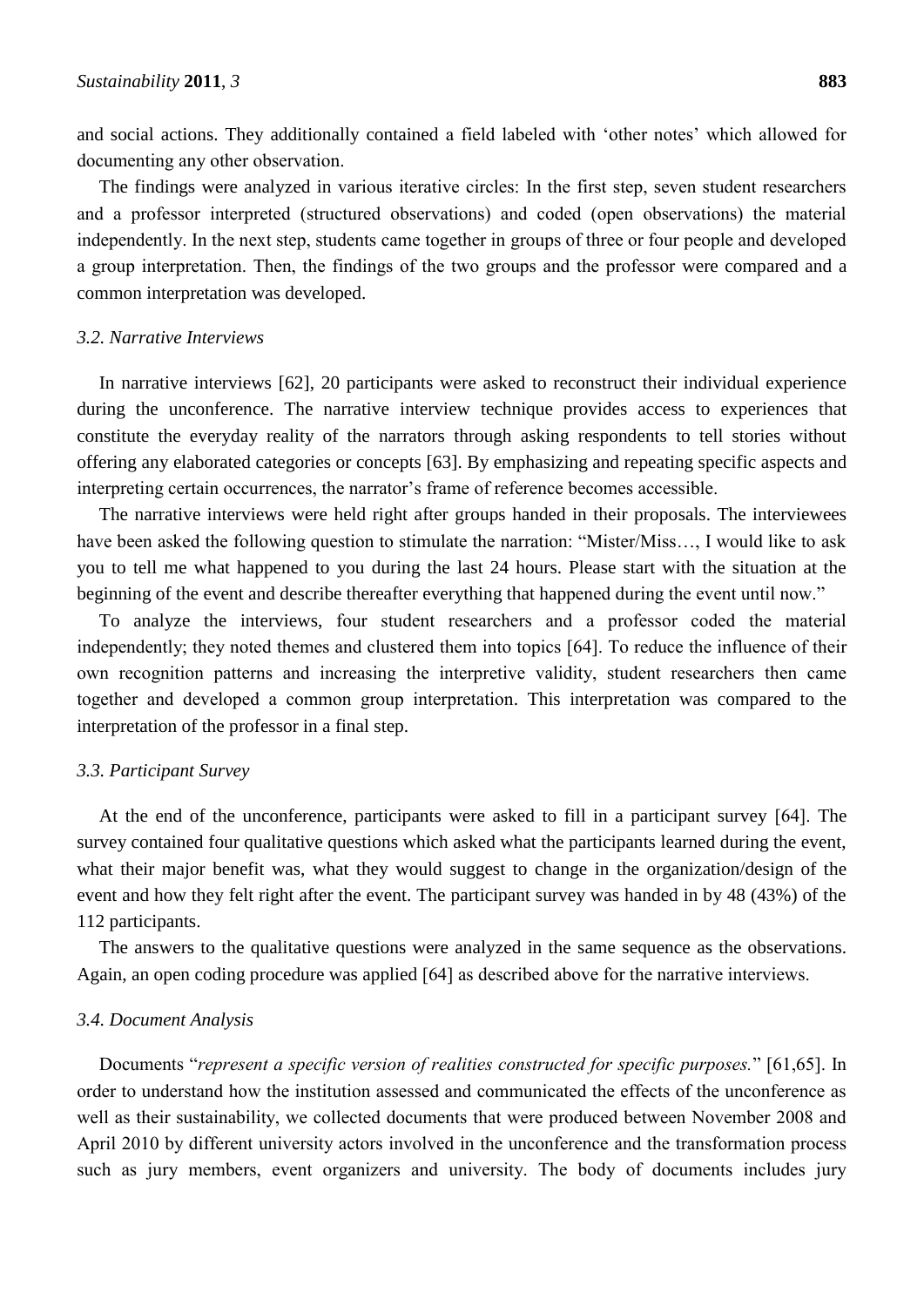and social actions. They additionally contained a field labeled with "other notes" which allowed for documenting any other observation.

The findings were analyzed in various iterative circles: In the first step, seven student researchers and a professor interpreted (structured observations) and coded (open observations) the material independently. In the next step, students came together in groups of three or four people and developed a group interpretation. Then, the findings of the two groups and the professor were compared and a common interpretation was developed.

#### *3.2. Narrative Interviews*

In narrative interviews [62], 20 participants were asked to reconstruct their individual experience during the unconference. The narrative interview technique provides access to experiences that constitute the everyday reality of the narrators through asking respondents to tell stories without offering any elaborated categories or concepts [63]. By emphasizing and repeating specific aspects and interpreting certain occurrences, the narrator's frame of reference becomes accessible.

The narrative interviews were held right after groups handed in their proposals. The interviewees have been asked the following question to stimulate the narration: "Mister/Miss..., I would like to ask you to tell me what happened to you during the last 24 hours. Please start with the situation at the beginning of the event and describe thereafter everything that happened during the event until now."

To analyze the interviews, four student researchers and a professor coded the material independently; they noted themes and clustered them into topics [64]. To reduce the influence of their own recognition patterns and increasing the interpretive validity, student researchers then came together and developed a common group interpretation. This interpretation was compared to the interpretation of the professor in a final step.

#### *3.3. Participant Survey*

At the end of the unconference, participants were asked to fill in a participant survey [64]. The survey contained four qualitative questions which asked what the participants learned during the event, what their major benefit was, what they would suggest to change in the organization/design of the event and how they felt right after the event. The participant survey was handed in by 48 (43%) of the 112 participants.

The answers to the qualitative questions were analyzed in the same sequence as the observations. Again, an open coding procedure was applied [64] as described above for the narrative interviews.

#### *3.4. Document Analysis*

Documents "*represent a specific version of realities constructed for specific purposes.*" [61,65]. In order to understand how the institution assessed and communicated the effects of the unconference as well as their sustainability, we collected documents that were produced between November 2008 and April 2010 by different university actors involved in the unconference and the transformation process such as jury members, event organizers and university. The body of documents includes jury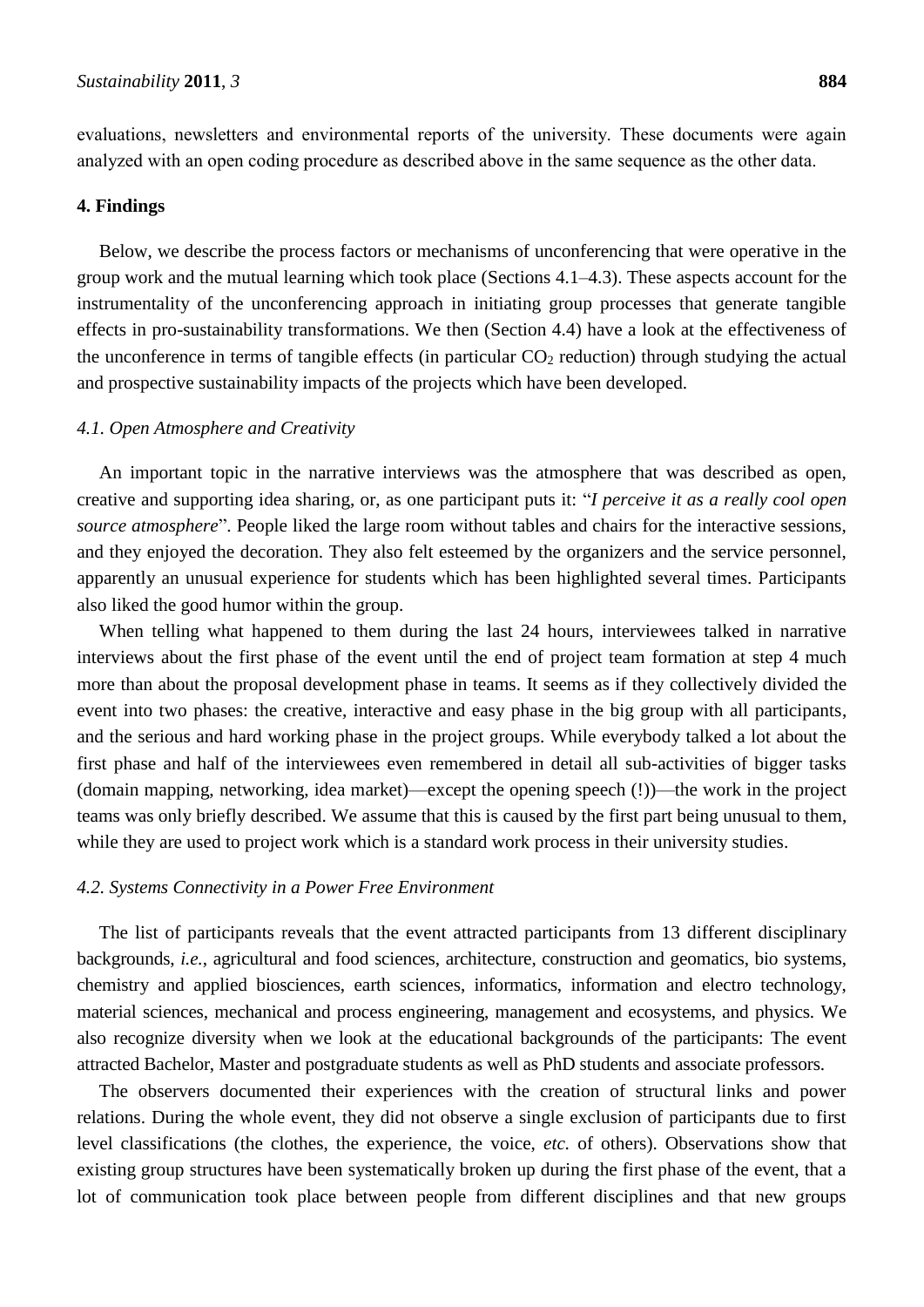evaluations, newsletters and environmental reports of the university. These documents were again analyzed with an open coding procedure as described above in the same sequence as the other data.

#### **4. Findings**

Below, we describe the process factors or mechanisms of unconferencing that were operative in the group work and the mutual learning which took place (Sections 4.1–4.3). These aspects account for the instrumentality of the unconferencing approach in initiating group processes that generate tangible effects in pro-sustainability transformations. We then (Section 4.4) have a look at the effectiveness of the unconference in terms of tangible effects (in particular  $CO<sub>2</sub>$  reduction) through studying the actual and prospective sustainability impacts of the projects which have been developed.

#### *4.1. Open Atmosphere and Creativity*

An important topic in the narrative interviews was the atmosphere that was described as open, creative and supporting idea sharing, or, as one participant puts it: "I perceive it as a really cool open *source atmosphere*". People liked the large room without tables and chairs for the interactive sessions, and they enjoyed the decoration. They also felt esteemed by the organizers and the service personnel, apparently an unusual experience for students which has been highlighted several times. Participants also liked the good humor within the group.

When telling what happened to them during the last 24 hours, interviewees talked in narrative interviews about the first phase of the event until the end of project team formation at step 4 much more than about the proposal development phase in teams. It seems as if they collectively divided the event into two phases: the creative, interactive and easy phase in the big group with all participants, and the serious and hard working phase in the project groups. While everybody talked a lot about the first phase and half of the interviewees even remembered in detail all sub-activities of bigger tasks (domain mapping, networking, idea market)—except the opening speech (!))—the work in the project teams was only briefly described. We assume that this is caused by the first part being unusual to them, while they are used to project work which is a standard work process in their university studies.

#### *4.2. Systems Connectivity in a Power Free Environment*

The list of participants reveals that the event attracted participants from 13 different disciplinary backgrounds, *i.e.*, agricultural and food sciences, architecture, construction and geomatics, bio systems, chemistry and applied biosciences, earth sciences, informatics, information and electro technology, material sciences, mechanical and process engineering, management and ecosystems, and physics. We also recognize diversity when we look at the educational backgrounds of the participants: The event attracted Bachelor, Master and postgraduate students as well as PhD students and associate professors.

The observers documented their experiences with the creation of structural links and power relations. During the whole event, they did not observe a single exclusion of participants due to first level classifications (the clothes, the experience, the voice, *etc.* of others). Observations show that existing group structures have been systematically broken up during the first phase of the event, that a lot of communication took place between people from different disciplines and that new groups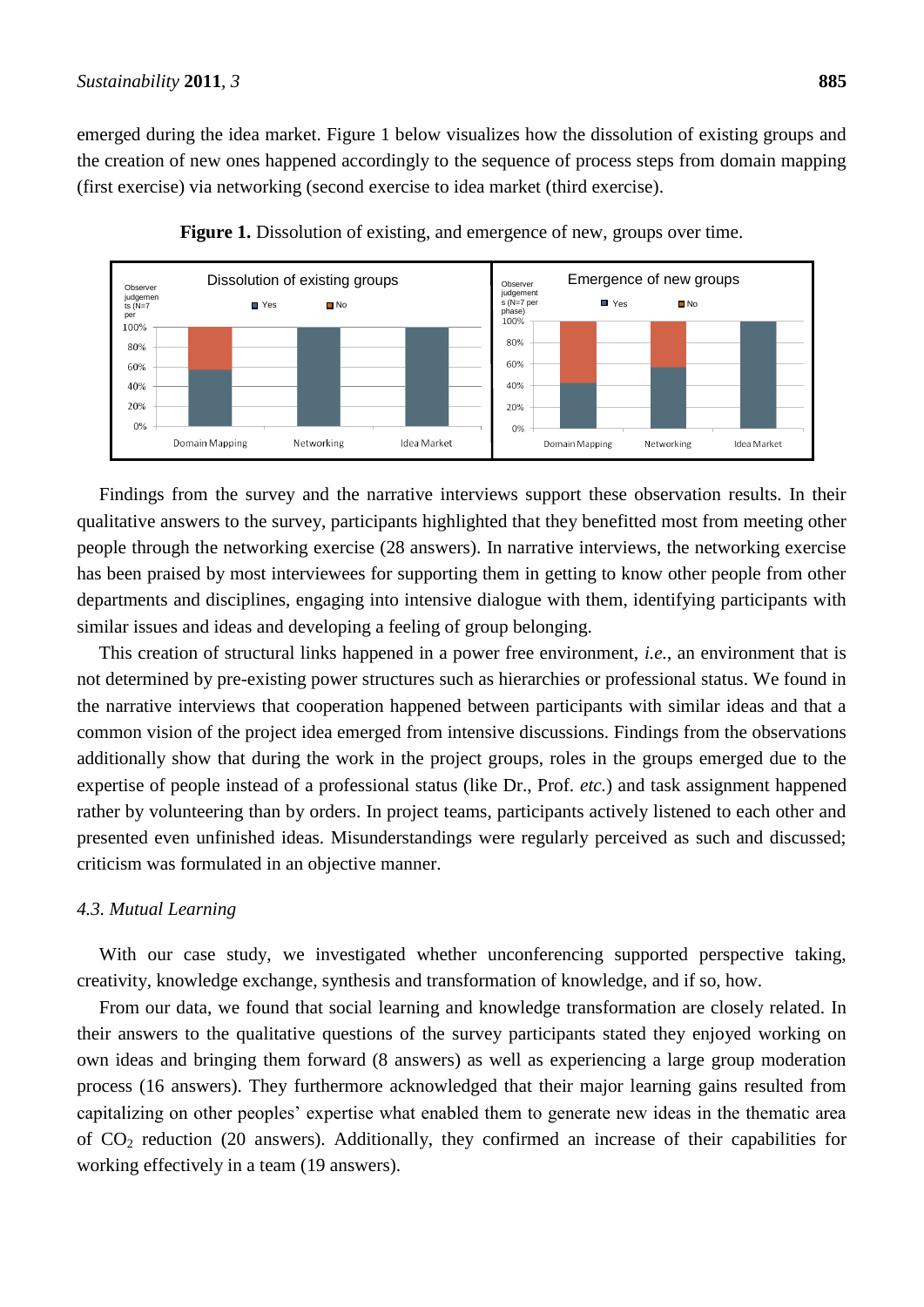emerged during the idea market. Figure 1 below visualizes how the dissolution of existing groups and the creation of new ones happened accordingly to the sequence of process steps from domain mapping (first exercise) via networking (second exercise to idea market (third exercise).





Findings from the survey and the narrative interviews support these observation results. In their qualitative answers to the survey, participants highlighted that they benefitted most from meeting other people through the networking exercise (28 answers). In narrative interviews, the networking exercise has been praised by most interviewees for supporting them in getting to know other people from other departments and disciplines, engaging into intensive dialogue with them, identifying participants with similar issues and ideas and developing a feeling of group belonging.

This creation of structural links happened in a power free environment, *i.e.*, an environment that is not determined by pre-existing power structures such as hierarchies or professional status. We found in the narrative interviews that cooperation happened between participants with similar ideas and that a common vision of the project idea emerged from intensive discussions. Findings from the observations additionally show that during the work in the project groups, roles in the groups emerged due to the expertise of people instead of a professional status (like Dr., Prof. *etc.*) and task assignment happened rather by volunteering than by orders. In project teams, participants actively listened to each other and presented even unfinished ideas. Misunderstandings were regularly perceived as such and discussed; criticism was formulated in an objective manner.

#### *4.3. Mutual Learning*

With our case study, we investigated whether unconferencing supported perspective taking, creativity, knowledge exchange, synthesis and transformation of knowledge, and if so, how.

From our data, we found that social learning and knowledge transformation are closely related. In their answers to the qualitative questions of the survey participants stated they enjoyed working on own ideas and bringing them forward (8 answers) as well as experiencing a large group moderation process (16 answers). They furthermore acknowledged that their major learning gains resulted from capitalizing on other peoples' expertise what enabled them to generate new ideas in the thematic area of CO<sup>2</sup> reduction (20 answers). Additionally, they confirmed an increase of their capabilities for working effectively in a team (19 answers).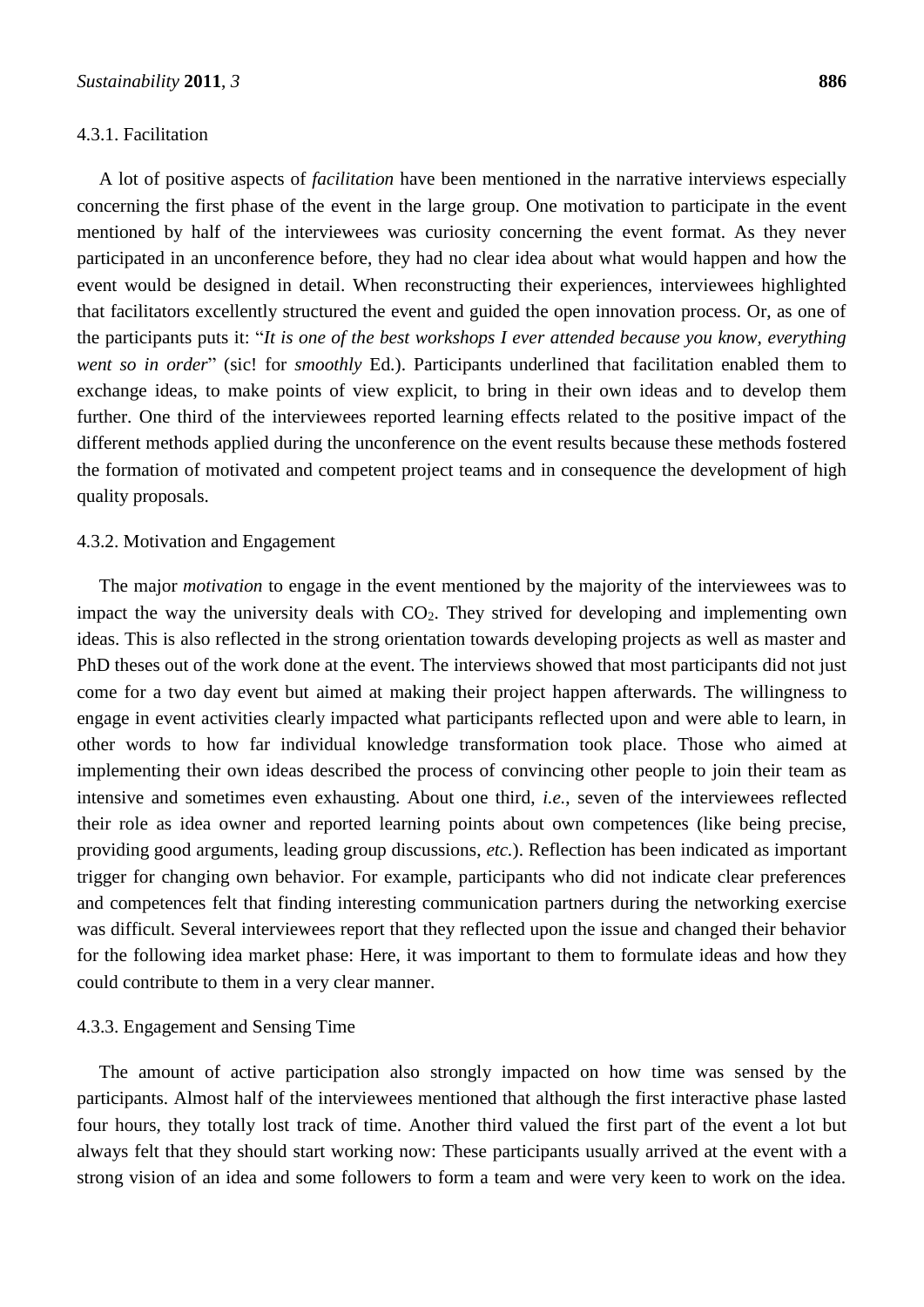#### 4.3.1. Facilitation

A lot of positive aspects of *facilitation* have been mentioned in the narrative interviews especially concerning the first phase of the event in the large group. One motivation to participate in the event mentioned by half of the interviewees was curiosity concerning the event format. As they never participated in an unconference before, they had no clear idea about what would happen and how the event would be designed in detail. When reconstructing their experiences, interviewees highlighted that facilitators excellently structured the event and guided the open innovation process. Or, as one of the participants puts it: "It is one of the best workshops I ever attended because you know, everything *went so in order*" (sic! for *smoothly* Ed.). Participants underlined that facilitation enabled them to exchange ideas, to make points of view explicit, to bring in their own ideas and to develop them further. One third of the interviewees reported learning effects related to the positive impact of the different methods applied during the unconference on the event results because these methods fostered the formation of motivated and competent project teams and in consequence the development of high quality proposals.

#### 4.3.2. Motivation and Engagement

The major *motivation* to engage in the event mentioned by the majority of the interviewees was to impact the way the university deals with  $CO<sub>2</sub>$ . They strived for developing and implementing own ideas. This is also reflected in the strong orientation towards developing projects as well as master and PhD theses out of the work done at the event. The interviews showed that most participants did not just come for a two day event but aimed at making their project happen afterwards. The willingness to engage in event activities clearly impacted what participants reflected upon and were able to learn, in other words to how far individual knowledge transformation took place. Those who aimed at implementing their own ideas described the process of convincing other people to join their team as intensive and sometimes even exhausting. About one third, *i.e.*, seven of the interviewees reflected their role as idea owner and reported learning points about own competences (like being precise, providing good arguments, leading group discussions, *etc.*). Reflection has been indicated as important trigger for changing own behavior. For example, participants who did not indicate clear preferences and competences felt that finding interesting communication partners during the networking exercise was difficult. Several interviewees report that they reflected upon the issue and changed their behavior for the following idea market phase: Here, it was important to them to formulate ideas and how they could contribute to them in a very clear manner.

#### 4.3.3. Engagement and Sensing Time

The amount of active participation also strongly impacted on how time was sensed by the participants. Almost half of the interviewees mentioned that although the first interactive phase lasted four hours, they totally lost track of time. Another third valued the first part of the event a lot but always felt that they should start working now: These participants usually arrived at the event with a strong vision of an idea and some followers to form a team and were very keen to work on the idea.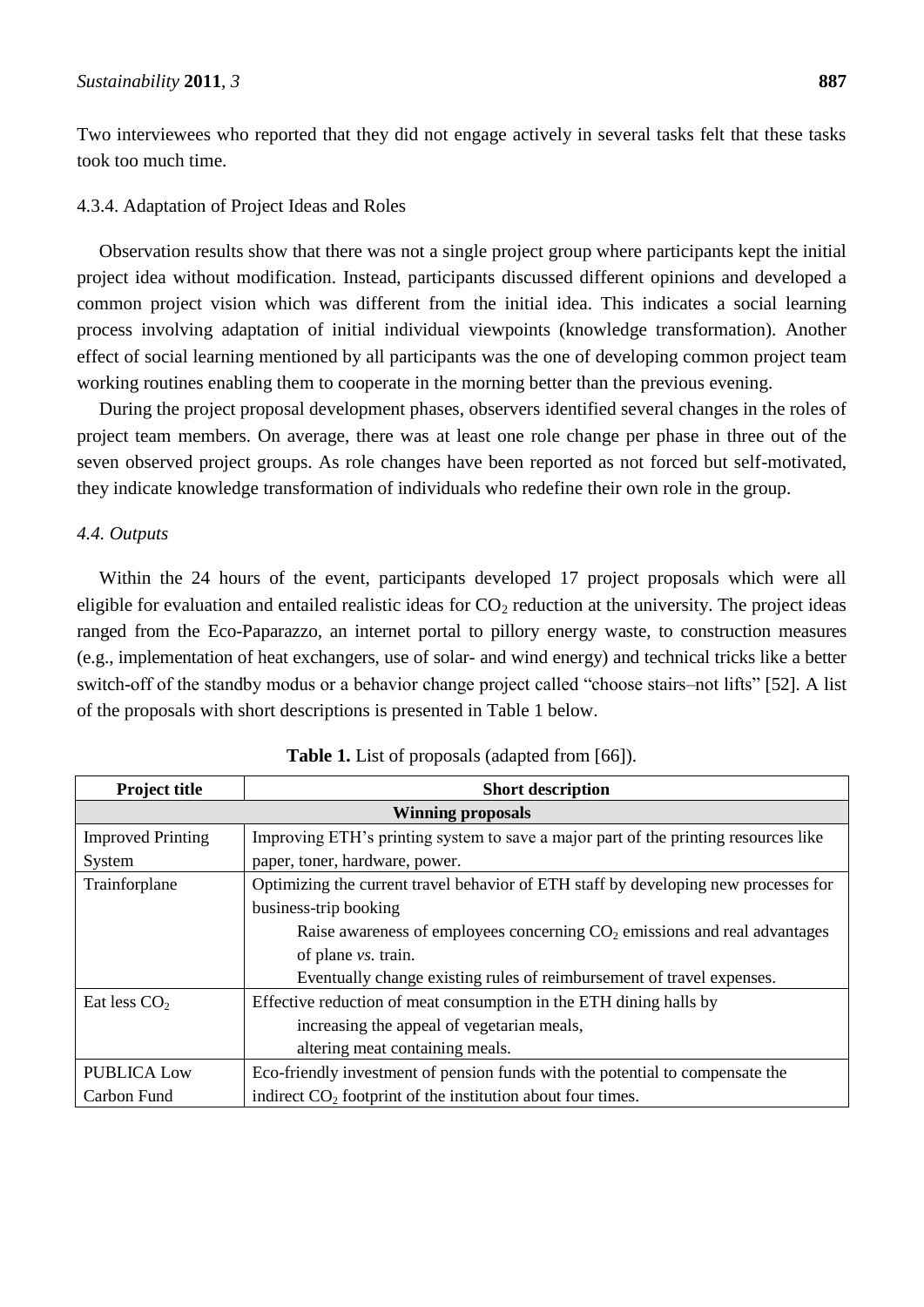Two interviewees who reported that they did not engage actively in several tasks felt that these tasks took too much time.

#### 4.3.4. Adaptation of Project Ideas and Roles

Observation results show that there was not a single project group where participants kept the initial project idea without modification. Instead, participants discussed different opinions and developed a common project vision which was different from the initial idea. This indicates a social learning process involving adaptation of initial individual viewpoints (knowledge transformation). Another effect of social learning mentioned by all participants was the one of developing common project team working routines enabling them to cooperate in the morning better than the previous evening.

During the project proposal development phases, observers identified several changes in the roles of project team members. On average, there was at least one role change per phase in three out of the seven observed project groups. As role changes have been reported as not forced but self-motivated, they indicate knowledge transformation of individuals who redefine their own role in the group.

#### *4.4. Outputs*

Within the 24 hours of the event, participants developed 17 project proposals which were all eligible for evaluation and entailed realistic ideas for  $CO<sub>2</sub>$  reduction at the university. The project ideas ranged from the Eco-Paparazzo, an internet portal to pillory energy waste, to construction measures (e.g., implementation of heat exchangers, use of solar- and wind energy) and technical tricks like a better switch-off of the standby modus or a behavior change project called "choose stairs–not lifts" [52]. A list of the proposals with short descriptions is presented in Table 1 below.

| <b>Project title</b>     | <b>Short description</b>                                                            |  |  |
|--------------------------|-------------------------------------------------------------------------------------|--|--|
| <b>Winning proposals</b> |                                                                                     |  |  |
| <b>Improved Printing</b> | Improving ETH's printing system to save a major part of the printing resources like |  |  |
| System                   | paper, toner, hardware, power.                                                      |  |  |
| Trainforplane            | Optimizing the current travel behavior of ETH staff by developing new processes for |  |  |
|                          | business-trip booking                                                               |  |  |
|                          | Raise awareness of employees concerning $CO2$ emissions and real advantages         |  |  |
|                          | of plane vs. train.                                                                 |  |  |
|                          | Eventually change existing rules of reimbursement of travel expenses.               |  |  |
| Eat less $CO2$           | Effective reduction of meat consumption in the ETH dining halls by                  |  |  |
|                          | increasing the appeal of vegetarian meals,                                          |  |  |
|                          | altering meat containing meals.                                                     |  |  |
| <b>PUBLICA Low</b>       | Eco-friendly investment of pension funds with the potential to compensate the       |  |  |
| Carbon Fund              | indirect $CO2$ footprint of the institution about four times.                       |  |  |

| <b>Table 1.</b> List of proposals (adapted from [66]). |  |  |
|--------------------------------------------------------|--|--|
|--------------------------------------------------------|--|--|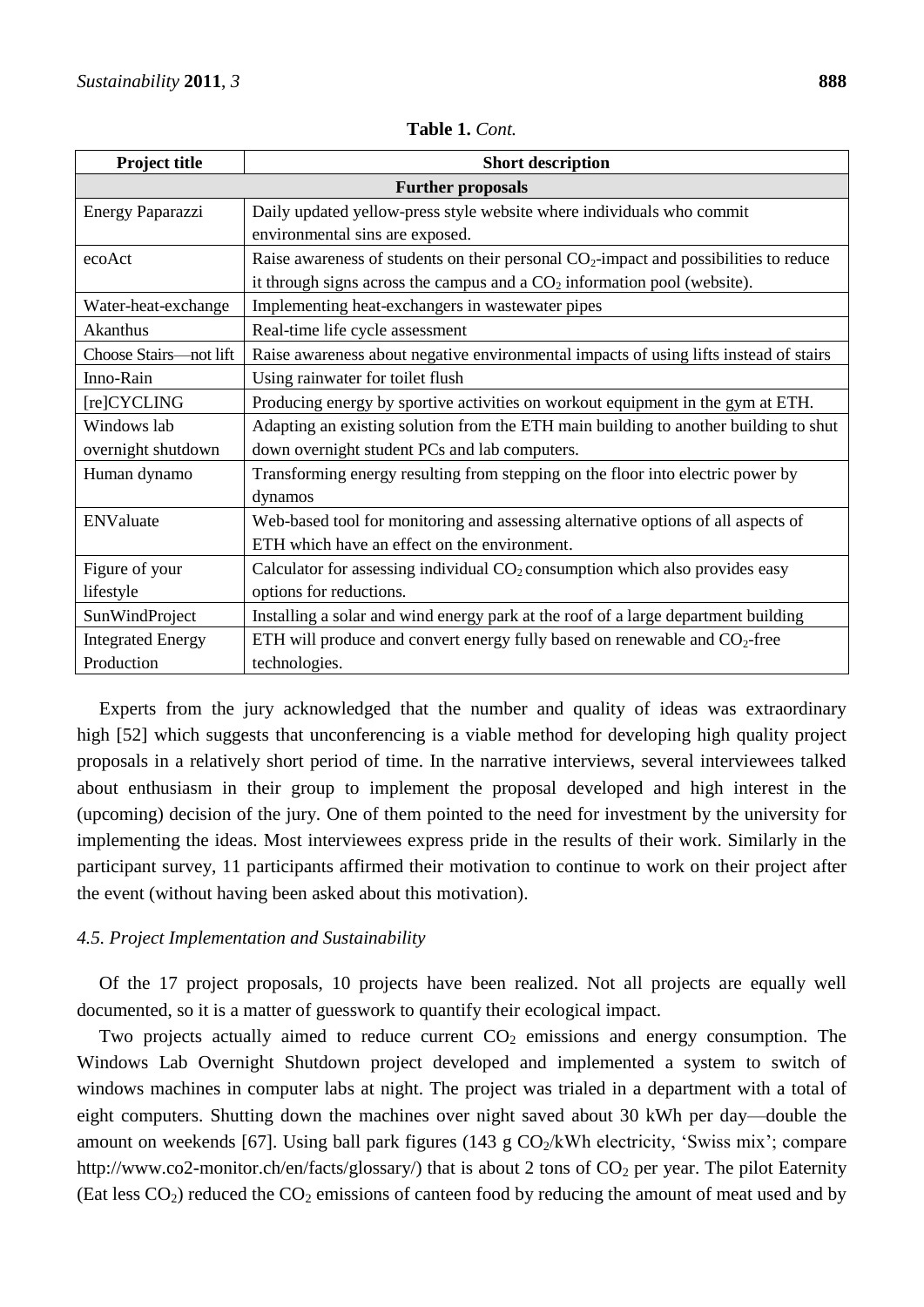| <b>Project title</b>     | <b>Short description</b>                                                                |  |
|--------------------------|-----------------------------------------------------------------------------------------|--|
| <b>Further proposals</b> |                                                                                         |  |
| Energy Paparazzi         | Daily updated yellow-press style website where individuals who commit                   |  |
|                          | environmental sins are exposed.                                                         |  |
| ecoAct                   | Raise awareness of students on their personal $CO2$ -impact and possibilities to reduce |  |
|                          | it through signs across the campus and a $CO2$ information pool (website).              |  |
| Water-heat-exchange      | Implementing heat-exchangers in wastewater pipes                                        |  |
| Akanthus                 | Real-time life cycle assessment                                                         |  |
| Choose Stairs-not lift   | Raise awareness about negative environmental impacts of using lifts instead of stairs   |  |
| Inno-Rain                | Using rainwater for toilet flush                                                        |  |
| [re]CYCLING              | Producing energy by sportive activities on workout equipment in the gym at ETH.         |  |
| Windows lab              | Adapting an existing solution from the ETH main building to another building to shut    |  |
| overnight shutdown       | down overnight student PCs and lab computers.                                           |  |
| Human dynamo             | Transforming energy resulting from stepping on the floor into electric power by         |  |
|                          | dynamos                                                                                 |  |
| ENValuate                | Web-based tool for monitoring and assessing alternative options of all aspects of       |  |
|                          | ETH which have an effect on the environment.                                            |  |
| Figure of your           | Calculator for assessing individual $CO2$ consumption which also provides easy          |  |
| lifestyle                | options for reductions.                                                                 |  |
| SunWindProject           | Installing a solar and wind energy park at the roof of a large department building      |  |
| <b>Integrated Energy</b> | ETH will produce and convert energy fully based on renewable and $CO_2$ -free           |  |
| Production               | technologies.                                                                           |  |

**Table 1.** *Cont.*

Experts from the jury acknowledged that the number and quality of ideas was extraordinary high [52] which suggests that unconferencing is a viable method for developing high quality project proposals in a relatively short period of time. In the narrative interviews, several interviewees talked about enthusiasm in their group to implement the proposal developed and high interest in the (upcoming) decision of the jury. One of them pointed to the need for investment by the university for implementing the ideas. Most interviewees express pride in the results of their work. Similarly in the participant survey, 11 participants affirmed their motivation to continue to work on their project after the event (without having been asked about this motivation).

#### *4.5. Project Implementation and Sustainability*

Of the 17 project proposals, 10 projects have been realized. Not all projects are equally well documented, so it is a matter of guesswork to quantify their ecological impact.

Two projects actually aimed to reduce current  $CO<sub>2</sub>$  emissions and energy consumption. The Windows Lab Overnight Shutdown project developed and implemented a system to switch of windows machines in computer labs at night. The project was trialed in a department with a total of eight computers. Shutting down the machines over night saved about 30 kWh per day—double the amount on weekends [67]. Using ball park figures (143 g  $CO<sub>2</sub>/kWh$  electricity, 'Swiss mix'; compare http://www.co2-monitor.ch/en/facts/glossary/) that is about 2 tons of  $CO<sub>2</sub>$  per year. The pilot Eaternity (Eat less  $CO_2$ ) reduced the  $CO_2$  emissions of canteen food by reducing the amount of meat used and by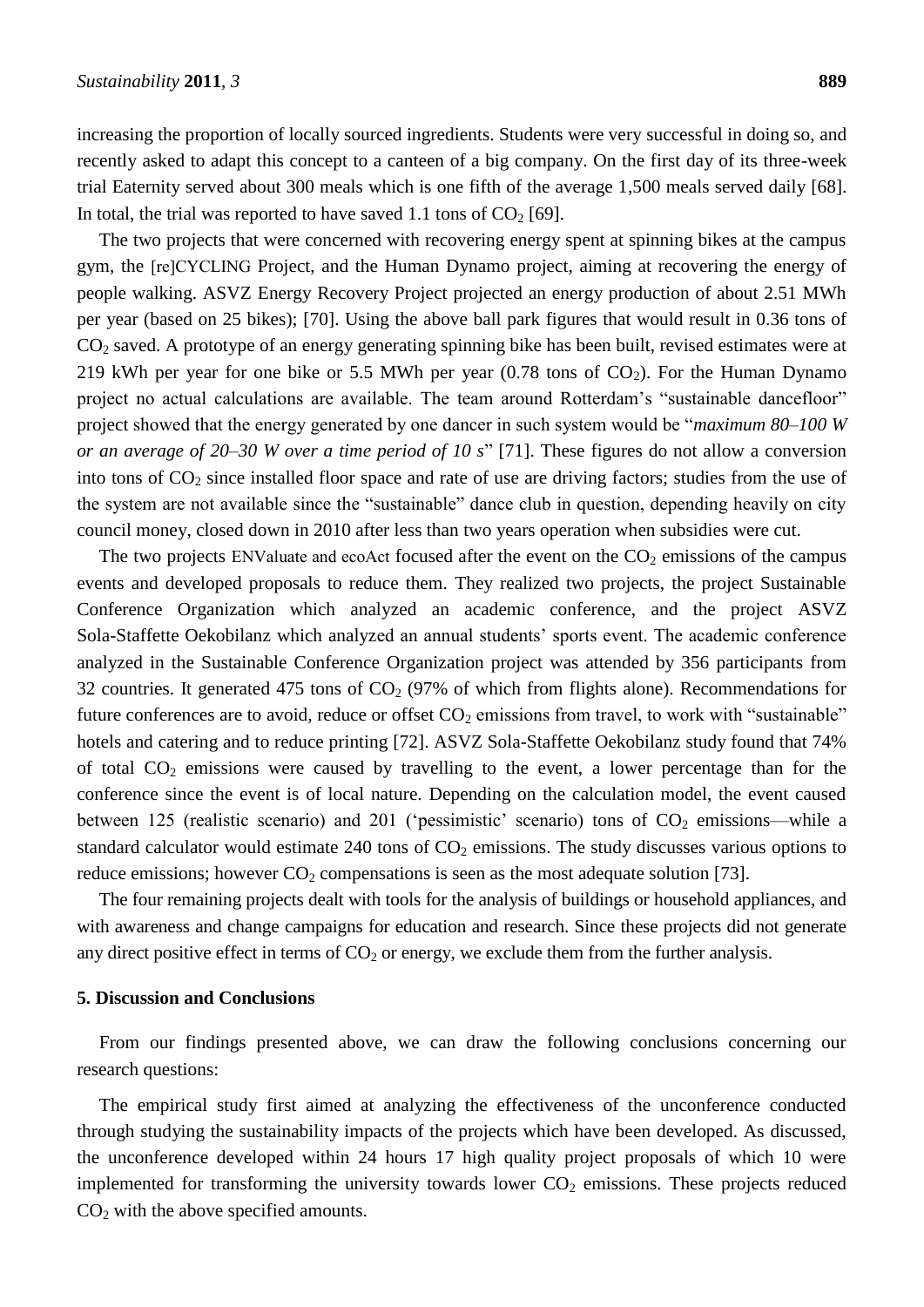increasing the proportion of locally sourced ingredients. Students were very successful in doing so, and recently asked to adapt this concept to a canteen of a big company. On the first day of its three-week trial Eaternity served about 300 meals which is one fifth of the average 1,500 meals served daily [68]. In total, the trial was reported to have saved 1.1 tons of  $CO<sub>2</sub>$  [69].

The two projects that were concerned with recovering energy spent at spinning bikes at the campus gym, the [re]CYCLING Project, and the Human Dynamo project, aiming at recovering the energy of people walking. ASVZ Energy Recovery Project projected an energy production of about 2.51 MWh per year (based on 25 bikes); [70]. Using the above ball park figures that would result in 0.36 tons of  $CO<sub>2</sub>$  saved. A prototype of an energy generating spinning bike has been built, revised estimates were at 219 kWh per year for one bike or 5.5 MWh per year  $(0.78 \text{ tons of } CO_2)$ . For the Human Dynamo project no actual calculations are available. The team around Rotterdam's "sustainable dancefloor" project showed that the energy generated by one dancer in such system would be "*maximum 80–100 W or an average of 20–30 W over a time period of 10 s*" [71]. These figures do not allow a conversion into tons of  $CO<sub>2</sub>$  since installed floor space and rate of use are driving factors; studies from the use of the system are not available since the "sustainable" dance club in question, depending heavily on city council money, closed down in 2010 after less than two years operation when subsidies were cut.

The two projects ENValuate and ecoAct focused after the event on the  $CO<sub>2</sub>$  emissions of the campus events and developed proposals to reduce them. They realized two projects, the project Sustainable Conference Organization which analyzed an academic conference, and the project ASVZ Sola-Staffette Oekobilanz which analyzed an annual students' sports event. The academic conference analyzed in the Sustainable Conference Organization project was attended by 356 participants from 32 countries. It generated 475 tons of  $CO<sub>2</sub>$  (97% of which from flights alone). Recommendations for future conferences are to avoid, reduce or offset  $CO_2$  emissions from travel, to work with "sustainable" hotels and catering and to reduce printing [72]. ASVZ Sola-Staffette Oekobilanz study found that 74% of total  $CO<sub>2</sub>$  emissions were caused by travelling to the event, a lower percentage than for the conference since the event is of local nature. Depending on the calculation model, the event caused between 125 (realistic scenario) and 201 ('pessimistic' scenario) tons of  $CO<sub>2</sub>$  emissions—while a standard calculator would estimate  $240$  tons of  $CO<sub>2</sub>$  emissions. The study discusses various options to reduce emissions; however  $CO_2$  compensations is seen as the most adequate solution [73].

The four remaining projects dealt with tools for the analysis of buildings or household appliances, and with awareness and change campaigns for education and research. Since these projects did not generate any direct positive effect in terms of  $CO<sub>2</sub>$  or energy, we exclude them from the further analysis.

#### **5. Discussion and Conclusions**

From our findings presented above, we can draw the following conclusions concerning our research questions:

The empirical study first aimed at analyzing the effectiveness of the unconference conducted through studying the sustainability impacts of the projects which have been developed. As discussed, the unconference developed within 24 hours 17 high quality project proposals of which 10 were implemented for transforming the university towards lower  $CO<sub>2</sub>$  emissions. These projects reduced  $CO<sub>2</sub>$  with the above specified amounts.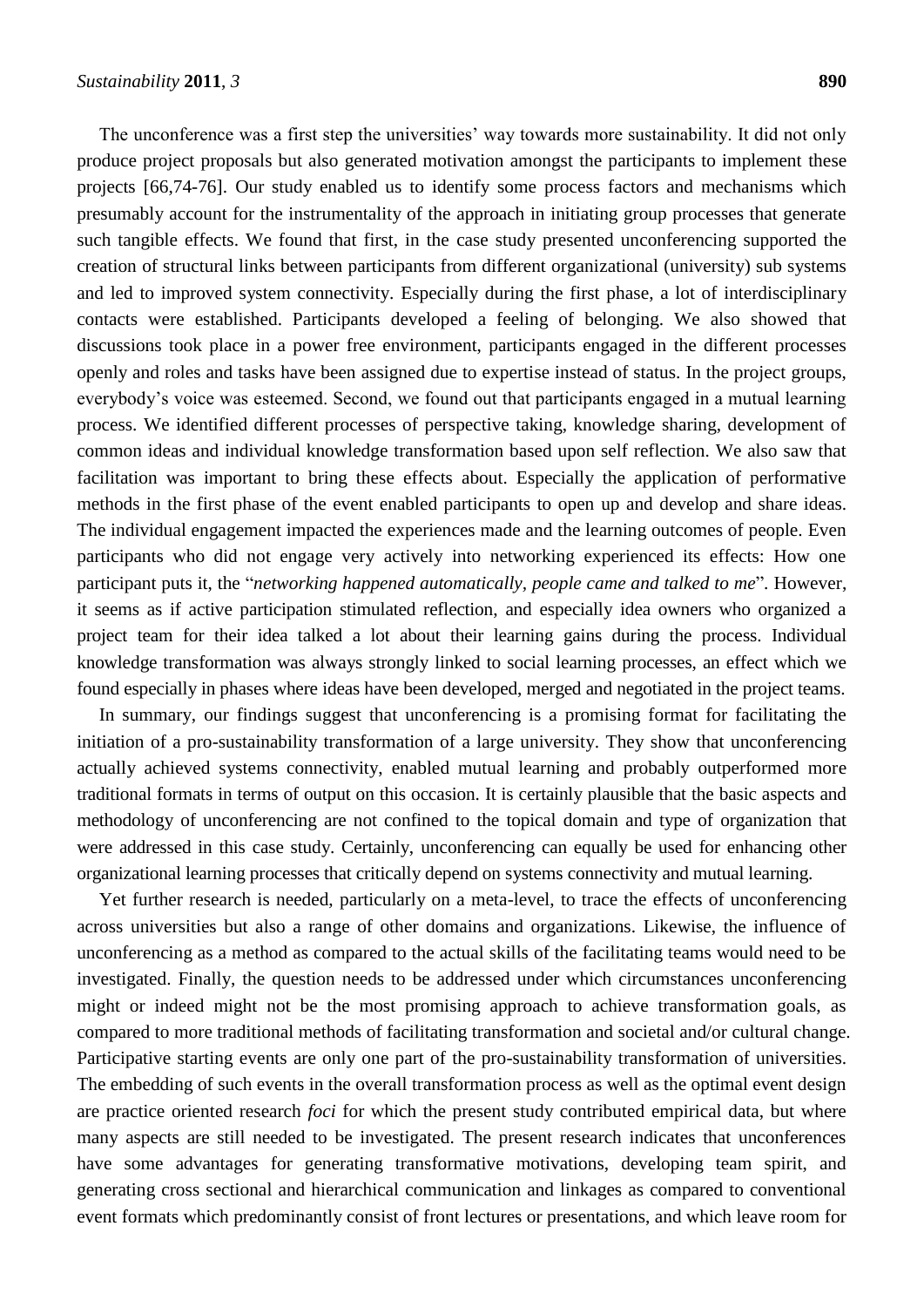The unconference was a first step the universities' way towards more sustainability. It did not only produce project proposals but also generated motivation amongst the participants to implement these projects [66,74-76]. Our study enabled us to identify some process factors and mechanisms which presumably account for the instrumentality of the approach in initiating group processes that generate such tangible effects. We found that first, in the case study presented unconferencing supported the creation of structural links between participants from different organizational (university) sub systems and led to improved system connectivity. Especially during the first phase, a lot of interdisciplinary contacts were established. Participants developed a feeling of belonging. We also showed that discussions took place in a power free environment, participants engaged in the different processes openly and roles and tasks have been assigned due to expertise instead of status. In the project groups, everybody's voice was esteemed. Second, we found out that participants engaged in a mutual learning process. We identified different processes of perspective taking, knowledge sharing, development of common ideas and individual knowledge transformation based upon self reflection. We also saw that facilitation was important to bring these effects about. Especially the application of performative methods in the first phase of the event enabled participants to open up and develop and share ideas. The individual engagement impacted the experiences made and the learning outcomes of people. Even participants who did not engage very actively into networking experienced its effects: How one participant puts it, the "*networking happened automatically, people came and talked to me*". However, it seems as if active participation stimulated reflection, and especially idea owners who organized a project team for their idea talked a lot about their learning gains during the process. Individual knowledge transformation was always strongly linked to social learning processes, an effect which we found especially in phases where ideas have been developed, merged and negotiated in the project teams.

In summary, our findings suggest that unconferencing is a promising format for facilitating the initiation of a pro-sustainability transformation of a large university. They show that unconferencing actually achieved systems connectivity, enabled mutual learning and probably outperformed more traditional formats in terms of output on this occasion. It is certainly plausible that the basic aspects and methodology of unconferencing are not confined to the topical domain and type of organization that were addressed in this case study. Certainly, unconferencing can equally be used for enhancing other organizational learning processes that critically depend on systems connectivity and mutual learning.

Yet further research is needed, particularly on a meta-level, to trace the effects of unconferencing across universities but also a range of other domains and organizations. Likewise, the influence of unconferencing as a method as compared to the actual skills of the facilitating teams would need to be investigated. Finally, the question needs to be addressed under which circumstances unconferencing might or indeed might not be the most promising approach to achieve transformation goals, as compared to more traditional methods of facilitating transformation and societal and/or cultural change. Participative starting events are only one part of the pro-sustainability transformation of universities. The embedding of such events in the overall transformation process as well as the optimal event design are practice oriented research *foci* for which the present study contributed empirical data, but where many aspects are still needed to be investigated. The present research indicates that unconferences have some advantages for generating transformative motivations, developing team spirit, and generating cross sectional and hierarchical communication and linkages as compared to conventional event formats which predominantly consist of front lectures or presentations, and which leave room for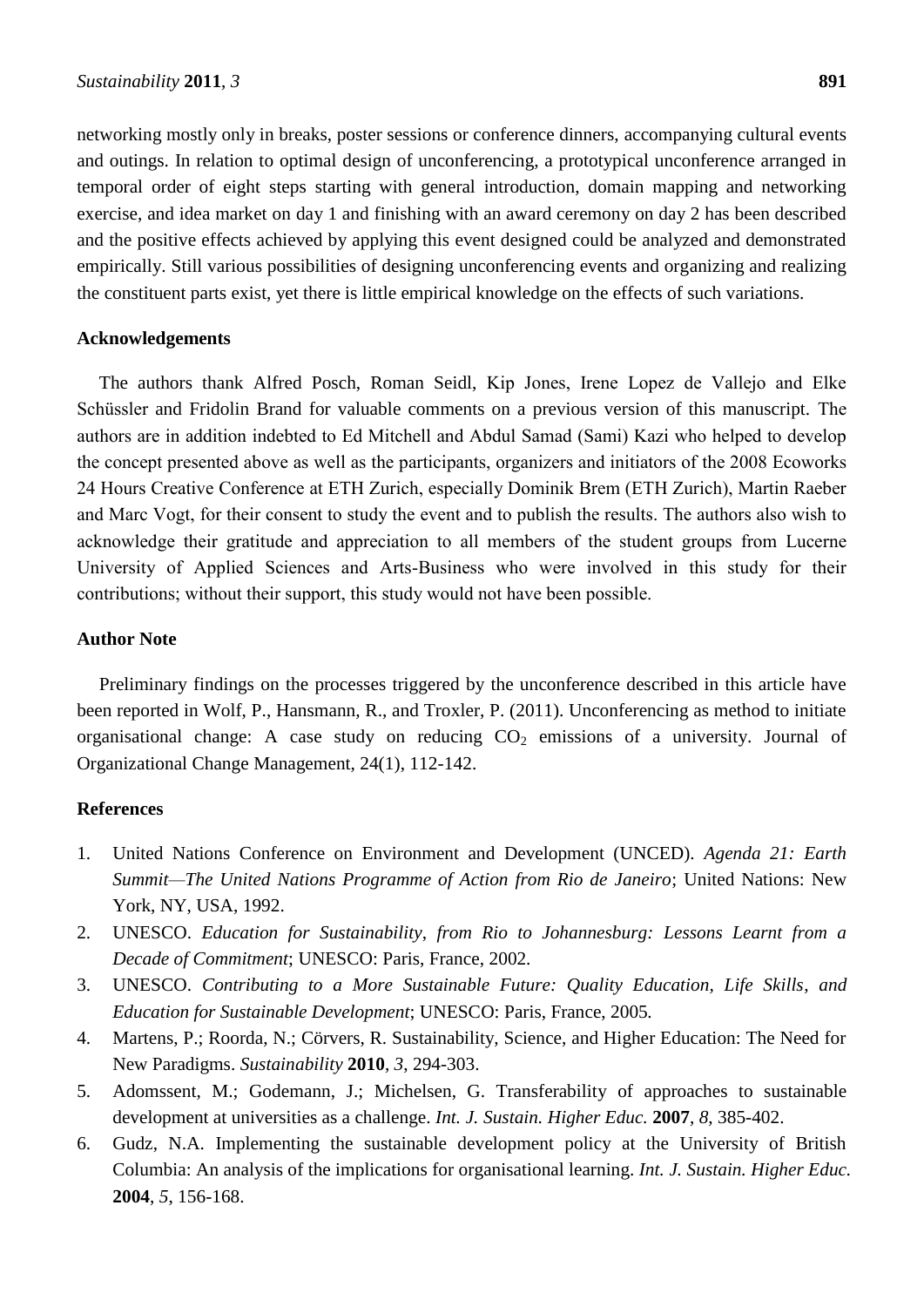networking mostly only in breaks, poster sessions or conference dinners, accompanying cultural events and outings. In relation to optimal design of unconferencing, a prototypical unconference arranged in temporal order of eight steps starting with general introduction, domain mapping and networking exercise, and idea market on day 1 and finishing with an award ceremony on day 2 has been described and the positive effects achieved by applying this event designed could be analyzed and demonstrated empirically. Still various possibilities of designing unconferencing events and organizing and realizing the constituent parts exist, yet there is little empirical knowledge on the effects of such variations.

#### **Acknowledgements**

The authors thank Alfred Posch, Roman Seidl, Kip Jones, Irene Lopez de Vallejo and Elke Schüssler and Fridolin Brand for valuable comments on a previous version of this manuscript. The authors are in addition indebted to Ed Mitchell and Abdul Samad (Sami) Kazi who helped to develop the concept presented above as well as the participants, organizers and initiators of the 2008 Ecoworks 24 Hours Creative Conference at ETH Zurich, especially Dominik Brem (ETH Zurich), Martin Raeber and Marc Vogt, for their consent to study the event and to publish the results. The authors also wish to acknowledge their gratitude and appreciation to all members of the student groups from Lucerne University of Applied Sciences and Arts-Business who were involved in this study for their contributions; without their support, this study would not have been possible.

#### **Author Note**

Preliminary findings on the processes triggered by the unconference described in this article have been reported in Wolf, P., Hansmann, R., and Troxler, P. (2011). Unconferencing as method to initiate organisational change: A case study on reducing  $CO<sub>2</sub>$  emissions of a university. Journal of Organizational Change Management, 24(1), 112-142.

#### **References**

- 1. United Nations Conference on Environment and Development (UNCED). *Agenda 21: Earth Summit—The United Nations Programme of Action from Rio de Janeiro*; United Nations: New York, NY, USA, 1992.
- 2. UNESCO. *Education for Sustainability*, *from Rio to Johannesburg: Lessons Learnt from a Decade of Commitment*; UNESCO: Paris, France, 2002*.*
- 3. UNESCO. *Contributing to a More Sustainable Future: Quality Education, Life Skills*, *and Education for Sustainable Development*; UNESCO: Paris, France, 2005*.*
- 4. Martens, P.; Roorda, N.; Cörvers, R. Sustainability, Science, and Higher Education: The Need for New Paradigms. *Sustainability* **2010**, *3*, 294-303.
- 5. Adomssent, M.; Godemann, J.; Michelsen, G. Transferability of approaches to sustainable development at universities as a challenge. *Int. J. Sustain. Higher Educ.* **2007**, *8*, 385-402.
- 6. Gudz, N.A. Implementing the sustainable development policy at the University of British Columbia: An analysis of the implications for organisational learning. *Int. J. Sustain. Higher Educ.* **2004**, *5*, 156-168.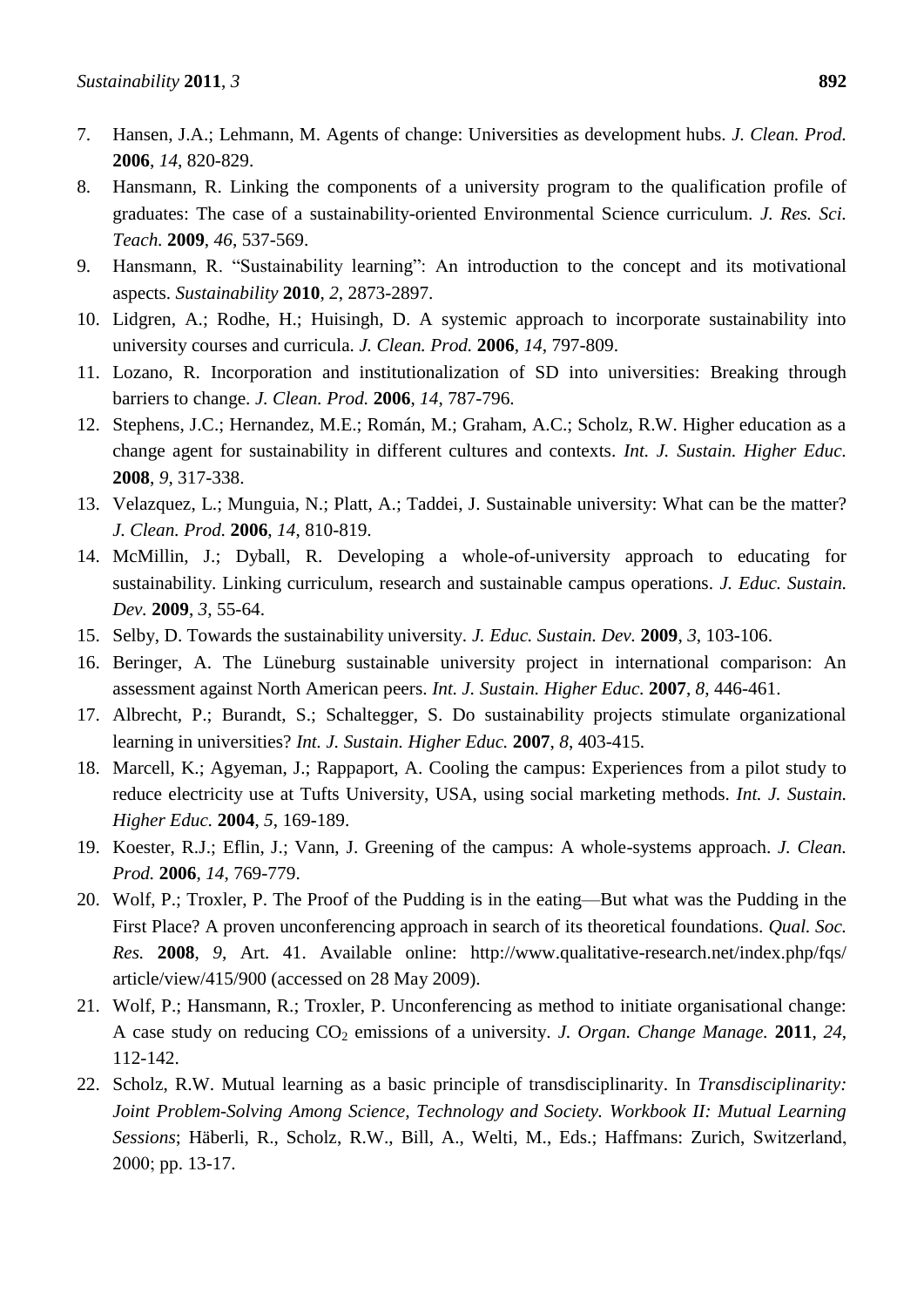- 7. Hansen, J.A.; Lehmann, M. Agents of change: Universities as development hubs. *J. Clean. Prod.* **2006**, *14*, 820-829.
- 8. Hansmann, R. Linking the components of a university program to the qualification profile of graduates: The case of a sustainability-oriented Environmental Science curriculum. *J. Res. Sci. Teach.* **2009**, *46*, 537-569.
- 9. Hansmann, R. "Sustainability learning": An introduction to the concept and its motivational aspects. *Sustainability* **2010**, *2*, 2873-2897.
- 10. Lidgren, A.; Rodhe, H.; Huisingh, D. A systemic approach to incorporate sustainability into university courses and curricula. *J. Clean. Prod.* **2006**, *14*, 797-809.
- 11. Lozano, R. Incorporation and institutionalization of SD into universities: Breaking through barriers to change. *J. Clean. Prod.* **2006**, *14*, 787-796.
- 12. Stephens, J.C.; Hernandez, M.E.; Román, M.; Graham, A.C.; Scholz, R.W. Higher education as a change agent for sustainability in different cultures and contexts. *Int. J. Sustain. Higher Educ.* **2008**, *9*, 317-338.
- 13. Velazquez, L.; Munguia, N.; Platt, A.; Taddei, J. Sustainable university: What can be the matter? *J. Clean. Prod.* **2006**, *14*, 810-819.
- 14. McMillin, J.; Dyball, R. Developing a whole-of-university approach to educating for sustainability. Linking curriculum, research and sustainable campus operations. *J. Educ. Sustain. Dev.* **2009**, *3*, 55-64.
- 15. Selby, D. Towards the sustainability university. *J. Educ. Sustain. Dev.* **2009**, *3*, 103-106.
- 16. Beringer, A. The Lüneburg sustainable university project in international comparison: An assessment against North American peers. *Int. J. Sustain. Higher Educ.* **2007**, *8*, 446-461.
- 17. Albrecht, P.; Burandt, S.; Schaltegger, S. Do sustainability projects stimulate organizational learning in universities? *Int. J. Sustain. Higher Educ.* **2007**, *8*, 403-415.
- 18. Marcell, K.; Agyeman, J.; Rappaport, A. Cooling the campus: Experiences from a pilot study to reduce electricity use at Tufts University, USA, using social marketing methods. *Int. J. Sustain. Higher Educ.* **2004**, *5*, 169-189.
- 19. Koester, R.J.; Eflin, J.; Vann, J. Greening of the campus: A whole-systems approach. *J. Clean. Prod.* **2006**, *14*, 769-779.
- 20. Wolf, P.; Troxler, P. The Proof of the Pudding is in the eating—But what was the Pudding in the First Place? A proven unconferencing approach in search of its theoretical foundations. *Qual. Soc. Res.* **2008**, *9*, Art. 41. Available online: http://www.qualitative-research.net/index.php/fqs/ article/view/415/900 (accessed on 28 May 2009).
- 21. Wolf, P.; Hansmann, R.; Troxler, P. Unconferencing as method to initiate organisational change: A case study on reducing CO<sup>2</sup> emissions of a university. *J. Organ. Change Manage.* **2011**, *24*, 112-142.
- 22. Scholz, R.W. Mutual learning as a basic principle of transdisciplinarity. In *Transdisciplinarity: Joint Problem-Solving Among Science, Technology and Society. Workbook II: Mutual Learning Sessions*; Häberli, R., Scholz, R.W., Bill, A., Welti, M., Eds.; Haffmans: Zurich, Switzerland, 2000; pp. 13-17.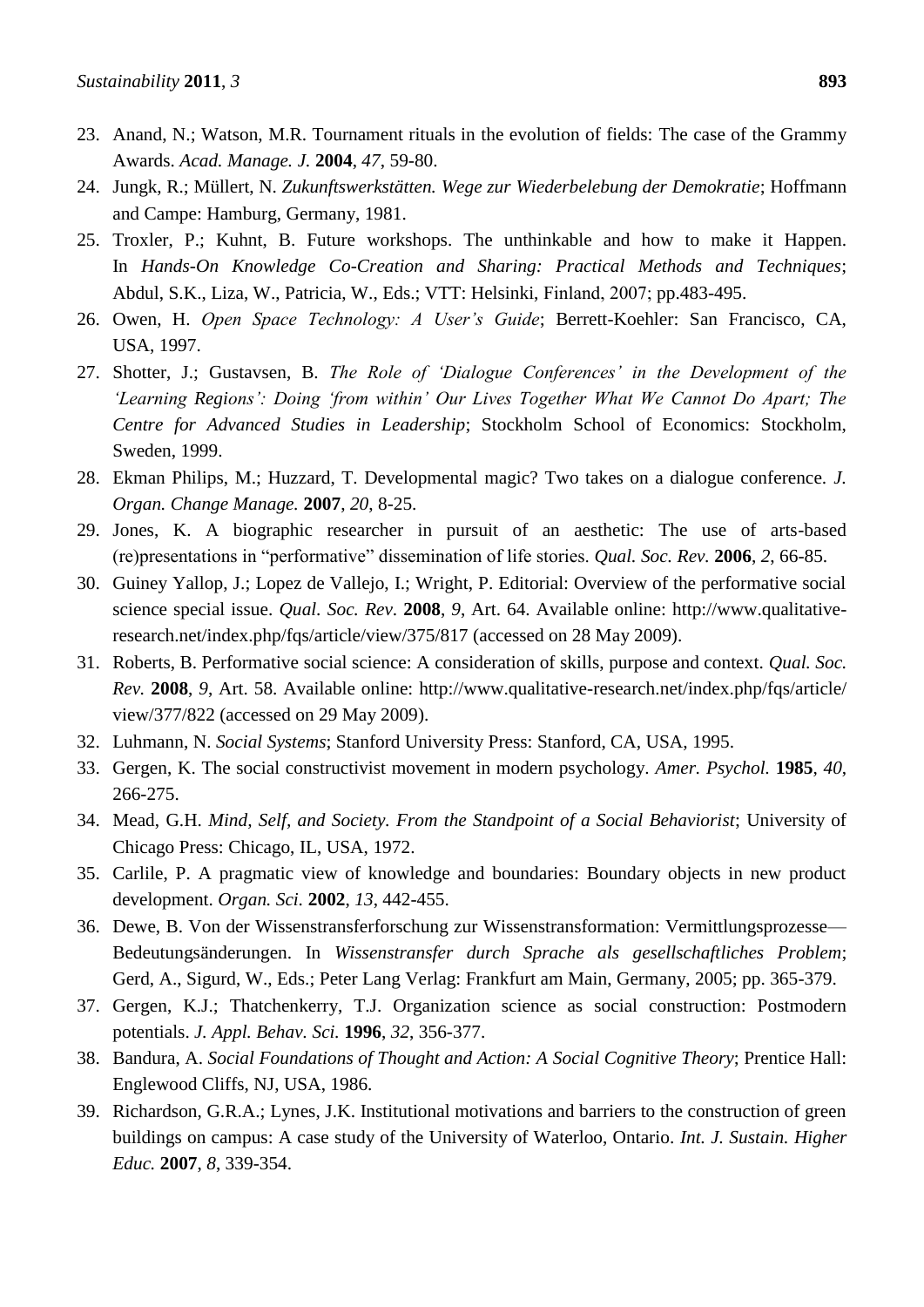- 23. Anand, N.; Watson, M.R. Tournament rituals in the evolution of fields: The case of the Grammy Awards. *Acad. Manage. J.* **2004**, *47*, 59-80.
- 24. Jungk, R.; Müllert, N. *Zukunftswerkstätten. Wege zur Wiederbelebung der Demokratie*; Hoffmann and Campe: Hamburg, Germany, 1981.
- 25. Troxler, P.; Kuhnt, B. Future workshops. The unthinkable and how to make it Happen. In *Hands-On Knowledge Co-Creation and Sharing: Practical Methods and Techniques*; Abdul, S.K., Liza, W., Patricia, W., Eds.; VTT: Helsinki, Finland, 2007; pp.483-495.
- 26. Owen, H. *Open Space Technology: A User's Guide*; Berrett-Koehler: San Francisco, CA, USA, 1997.
- 27. Shotter, J.; Gustavsen, B. *The Role of 'Dialogue Conferences' in the Development of the 'Learning Regions': Doing 'from within' Our Lives Together What We Cannot Do Apart; The Centre for Advanced Studies in Leadership*; Stockholm School of Economics: Stockholm, Sweden, 1999.
- 28. Ekman Philips, M.; Huzzard, T. Developmental magic? Two takes on a dialogue conference. *J. Organ. Change Manage.* **2007**, *20*, 8-25.
- 29. Jones, K. A biographic researcher in pursuit of an aesthetic: The use of arts-based (re)presentations in ―performative‖ dissemination of life stories. *Qual. Soc. Rev.* **2006**, *2*, 66-85.
- 30. Guiney Yallop, J.; Lopez de Vallejo, I.; Wright, P. Editorial: Overview of the performative social science special issue. *Qual. Soc. Rev*. **2008**, *9*, Art. 64. Available online: http://www.qualitativeresearch.net/index.php/fqs/article/view/375/817 (accessed on 28 May 2009).
- 31. Roberts, B. Performative social science: A consideration of skills, purpose and context. *Qual. Soc. Rev.* **2008**, *9*, Art. 58. Available online: http://www.qualitative-research.net/index.php/fqs/article/ view/377/822 (accessed on 29 May 2009).
- 32. Luhmann, N. *Social Systems*; Stanford University Press: Stanford, CA, USA, 1995.
- 33. Gergen, K. The social constructivist movement in modern psychology. *Amer. Psychol.* **1985**, *40*, 266-275.
- 34. Mead, G.H. *Mind, Self, and Society. From the Standpoint of a Social Behaviorist*; University of Chicago Press: Chicago, IL, USA, 1972.
- 35. Carlile, P. A pragmatic view of knowledge and boundaries: Boundary objects in new product development. *Organ. Sci.* **2002**, *13*, 442-455.
- 36. Dewe, B. Von der Wissenstransferforschung zur Wissenstransformation: Vermittlungsprozesse— Bedeutungsänderungen. In *Wissenstransfer durch Sprache als gesellschaftliches Problem*; Gerd, A., Sigurd, W., Eds.; Peter Lang Verlag: Frankfurt am Main, Germany, 2005; pp. 365-379.
- 37. Gergen, K.J.; Thatchenkerry, T.J. Organization science as social construction: Postmodern potentials. *J. Appl. Behav. Sci.* **1996**, *32*, 356-377.
- 38. Bandura, A. *Social Foundations of Thought and Action: A Social Cognitive Theory*; Prentice Hall: Englewood Cliffs, NJ, USA, 1986.
- 39. Richardson, G.R.A.; Lynes, J.K. Institutional motivations and barriers to the construction of green buildings on campus: A case study of the University of Waterloo, Ontario. *Int. J. Sustain. Higher Educ.* **2007**, *8*, 339-354.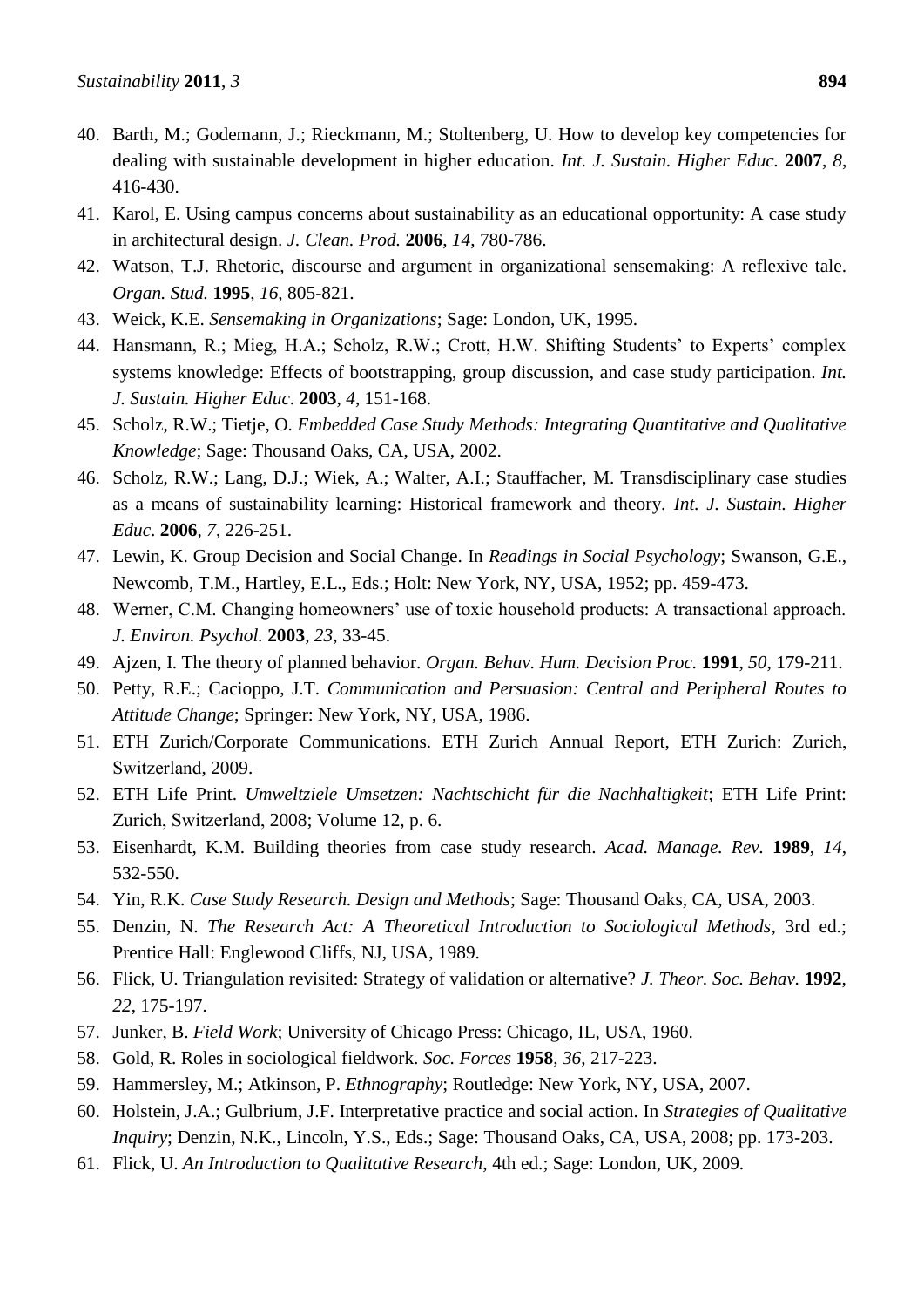- 40. Barth, M.; Godemann, J.; Rieckmann, M.; Stoltenberg, U. How to develop key competencies for dealing with sustainable development in higher education. *Int. J. Sustain. Higher Educ.* **2007**, *8*, 416-430.
- 41. Karol, E. Using campus concerns about sustainability as an educational opportunity: A case study in architectural design. *J. Clean. Prod.* **2006**, *14*, 780-786.
- 42. Watson, T.J. Rhetoric, discourse and argument in organizational sensemaking: A reflexive tale. *Organ. Stud.* **1995**, *16*, 805-821.
- 43. Weick, K.E. *Sensemaking in Organizations*; Sage: London, UK, 1995.
- 44. Hansmann, R.; Mieg, H.A.; Scholz, R.W.; Crott, H.W. Shifting Students' to Experts' complex systems knowledge: Effects of bootstrapping, group discussion, and case study participation. *Int. J. Sustain. Higher Educ*. **2003**, *4*, 151-168.
- 45. Scholz, R.W.; Tietje, O. *Embedded Case Study Methods: Integrating Quantitative and Qualitative Knowledge*; Sage: Thousand Oaks, CA, USA, 2002.
- 46. Scholz, R.W.; Lang, D.J.; Wiek, A.; Walter, A.I.; Stauffacher, M. Transdisciplinary case studies as a means of sustainability learning: Historical framework and theory. *Int. J. Sustain. Higher Educ*. **2006**, *7*, 226-251.
- 47. Lewin, K. Group Decision and Social Change. In *Readings in Social Psychology*; Swanson, G.E., Newcomb, T.M., Hartley, E.L., Eds.; Holt: New York, NY, USA, 1952; pp. 459-473.
- 48. Werner, C.M. Changing homeowners' use of toxic household products: A transactional approach. *J. Environ. Psychol.* **2003**, *23*, 33-45.
- 49. Ajzen, I. The theory of planned behavior. *Organ. Behav. Hum. Decision Proc.* **1991**, *50*, 179-211.
- 50. Petty, R.E.; Cacioppo, J.T. *Communication and Persuasion: Central and Peripheral Routes to Attitude Change*; Springer: New York, NY, USA, 1986.
- 51. ETH Zurich/Corporate Communications. ETH Zurich Annual Report, ETH Zurich: Zurich, Switzerland, 2009.
- 52. ETH Life Print. *Umweltziele Umsetzen: Nachtschicht für die Nachhaltigkeit*; ETH Life Print: Zurich, Switzerland, 2008; Volume 12, p. 6.
- 53. Eisenhardt, K.M. Building theories from case study research. *Acad. Manage. Rev.* **1989**, *14*, 532-550.
- 54. Yin, R.K. *Case Study Research. Design and Methods*; Sage: Thousand Oaks, CA, USA, 2003.
- 55. Denzin, N. *The Research Act: A Theoretical Introduction to Sociological Methods*, 3rd ed.; Prentice Hall: Englewood Cliffs, NJ, USA, 1989.
- 56. Flick, U. Triangulation revisited: Strategy of validation or alternative? *J. Theor. Soc. Behav.* **1992**, *22*, 175-197.
- 57. Junker, B. *Field Work*; University of Chicago Press: Chicago, IL, USA, 1960.
- 58. Gold, R. Roles in sociological fieldwork. *Soc. Forces* **1958**, *36*, 217-223.
- 59. Hammersley, M.; Atkinson, P. *Ethnography*; Routledge: New York, NY, USA, 2007.
- 60. Holstein, J.A.; Gulbrium, J.F. Interpretative practice and social action. In *Strategies of Qualitative Inquiry*; Denzin, N.K., Lincoln, Y.S., Eds.; Sage: Thousand Oaks, CA, USA, 2008; pp. 173-203.
- 61. Flick, U. *An Introduction to Qualitative Research*, 4th ed.; Sage: London, UK, 2009.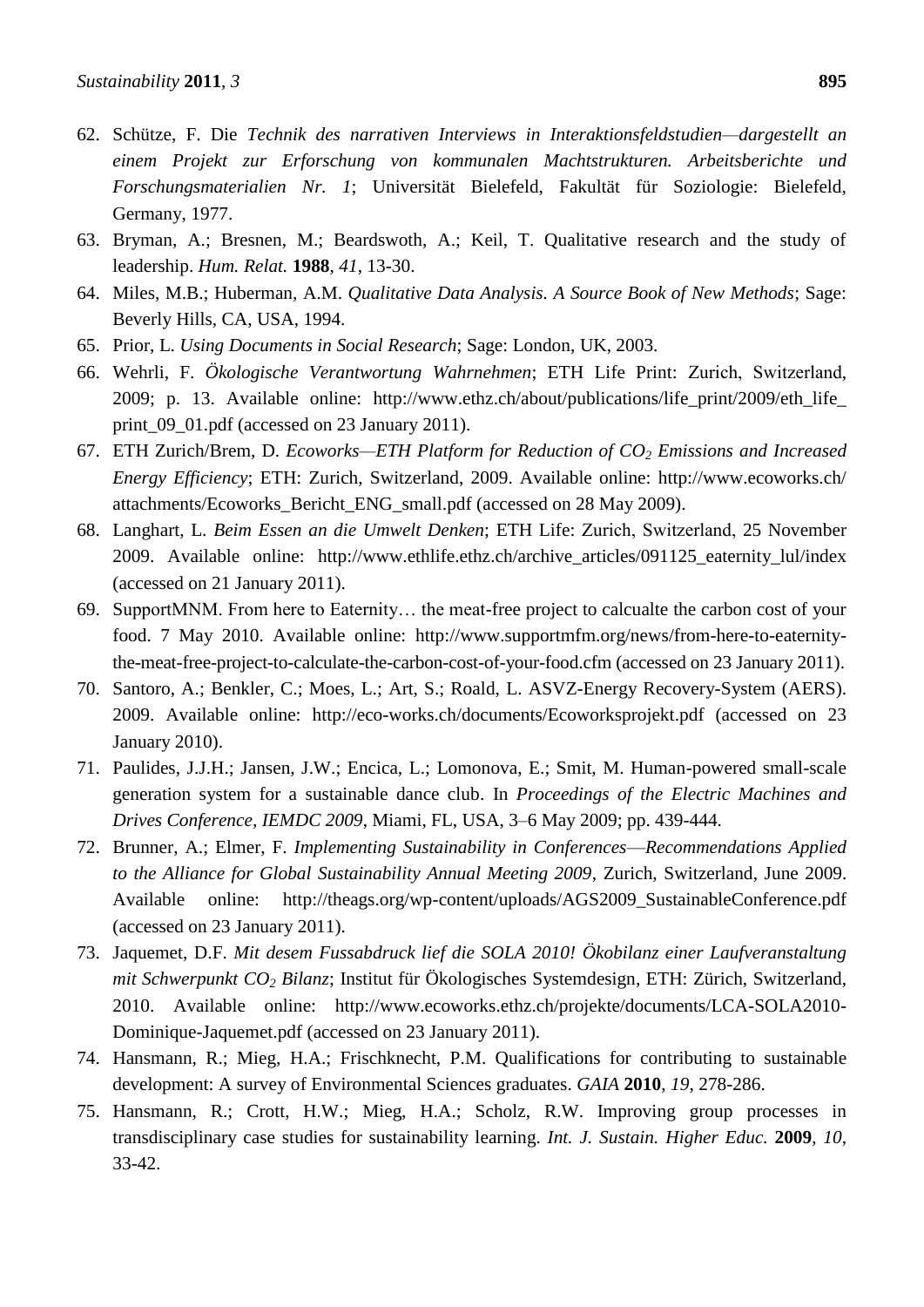- 62. Schütze, F. Die *Technik des narrativen Interviews in Interaktionsfeldstudien—dargestellt an einem Projekt zur Erforschung von kommunalen Machtstrukturen. Arbeitsberichte und Forschungsmaterialien Nr. 1*; Universität Bielefeld, Fakultät für Soziologie: Bielefeld, Germany, 1977.
- 63. Bryman, A.; Bresnen, M.; Beardswoth, A.; Keil, T. Qualitative research and the study of leadership. *Hum. Relat.* **1988**, *41*, 13-30.
- 64. Miles, M.B.; Huberman, A.M. *Qualitative Data Analysis. A Source Book of New Methods*; Sage: Beverly Hills, CA, USA, 1994.
- 65. Prior, L. *Using Documents in Social Research*; Sage: London, UK, 2003.
- 66. Wehrli, F. *Ökologische Verantwortung Wahrnehmen*; ETH Life Print: Zurich, Switzerland, 2009; p. 13. Available online: http://www.ethz.ch/about/publications/life\_print/2009/eth\_life\_ print 09 01.pdf (accessed on 23 January 2011).
- 67. ETH Zurich/Brem, D. *Ecoworks—ETH Platform for Reduction of CO<sup>2</sup> Emissions and Increased Energy Efficiency*; ETH: Zurich, Switzerland, 2009. Available online: http://www.ecoworks.ch/ attachments/Ecoworks\_Bericht\_ENG\_small.pdf (accessed on 28 May 2009).
- 68. Langhart, L. *Beim Essen an die Umwelt Denken*; ETH Life: Zurich, Switzerland, 25 November 2009. Available online: http://www.ethlife.ethz.ch/archive\_articles/091125\_eaternity\_lul/index (accessed on 21 January 2011).
- 69. SupportMNM. From here to Eaternity… the meat-free project to calcualte the carbon cost of your food. 7 May 2010. Available online: http://www.supportmfm.org/news/from-here-to-eaternitythe-meat-free-project-to-calculate-the-carbon-cost-of-your-food.cfm (accessed on 23 January 2011).
- 70. Santoro, A.; Benkler, C.; Moes, L.; Art, S.; Roald, L. ASVZ-Energy Recovery-System (AERS). 2009. Available online: http://eco-works.ch/documents/Ecoworksprojekt.pdf (accessed on 23 January 2010).
- 71. Paulides, J.J.H.; Jansen, J.W.; Encica, L.; Lomonova, E.; Smit, M. Human-powered small-scale generation system for a sustainable dance club. In *Proceedings of the Electric Machines and Drives Conference, IEMDC 2009*, Miami, FL, USA, 3–6 May 2009; pp. 439-444.
- 72. Brunner, A.; Elmer, F. *Implementing Sustainability in Conferences*—*Recommendations Applied to the Alliance for Global Sustainability Annual Meeting 2009*, Zurich, Switzerland, June 2009. Available online: http://theags.org/wp-content/uploads/AGS2009\_SustainableConference.pdf (accessed on 23 January 2011).
- 73. Jaquemet, D.F. *Mit desem Fussabdruck lief die SOLA 2010! Ökobilanz einer Laufveranstaltung mit Schwerpunkt CO<sup>2</sup> Bilanz*; Institut für Ökologisches Systemdesign, ETH: Zürich, Switzerland, 2010. Available online: http://www.ecoworks.ethz.ch/projekte/documents/LCA-SOLA2010- Dominique-Jaquemet.pdf (accessed on 23 January 2011).
- 74. Hansmann, R.; Mieg, H.A.; Frischknecht, P.M. Qualifications for contributing to sustainable development: A survey of Environmental Sciences graduates. *GAIA* **2010**, *19*, 278-286.
- 75. Hansmann, R.; Crott, H.W.; Mieg, H.A.; Scholz, R.W. Improving group processes in transdisciplinary case studies for sustainability learning. *Int. J. Sustain. Higher Educ.* **2009**, *10*, 33-42.